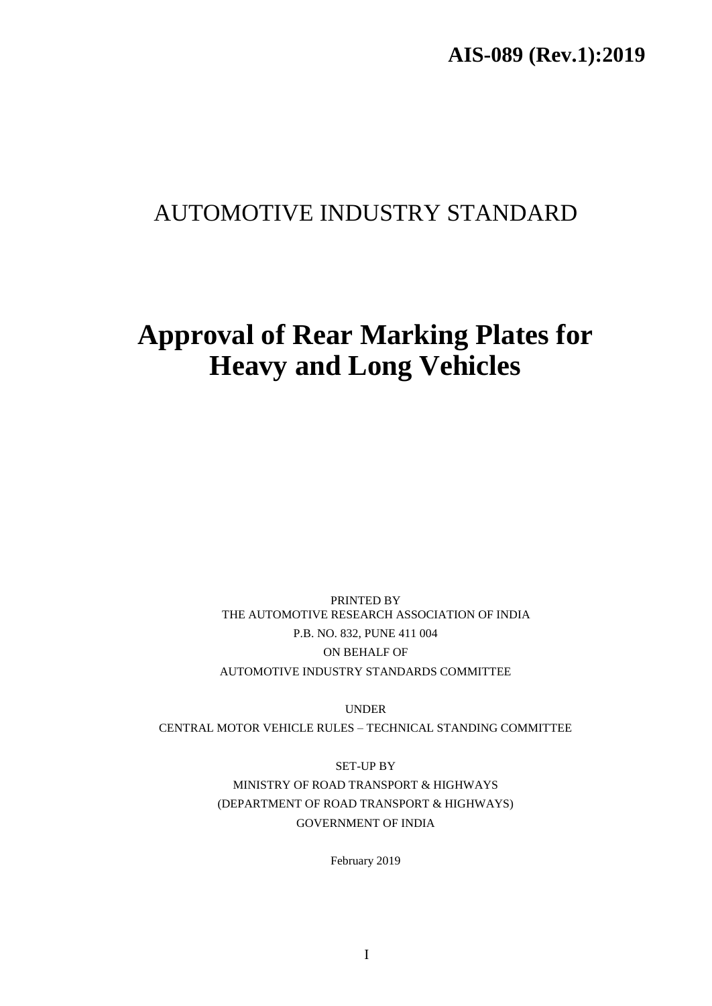# AUTOMOTIVE INDUSTRY STANDARD

# **Approval of Rear Marking Plates for Heavy and Long Vehicles**

PRINTED BY THE AUTOMOTIVE RESEARCH ASSOCIATION OF INDIA P.B. NO. 832, PUNE 411 004 ON BEHALF OF AUTOMOTIVE INDUSTRY STANDARDS COMMITTEE

UNDER CENTRAL MOTOR VEHICLE RULES – TECHNICAL STANDING COMMITTEE

> SET-UP BY MINISTRY OF ROAD TRANSPORT & HIGHWAYS (DEPARTMENT OF ROAD TRANSPORT & HIGHWAYS) GOVERNMENT OF INDIA

> > February 2019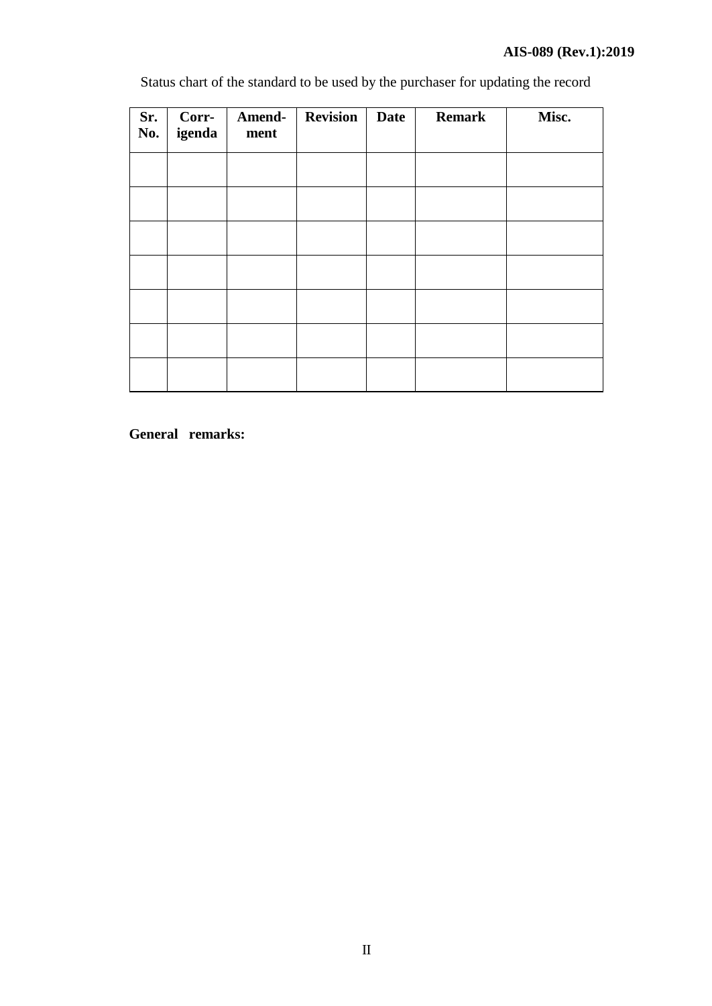Status chart of the standard to be used by the purchaser for updating the record

| Sr.<br>No. | Corr-<br>igenda | Amend-<br>ment | <b>Revision</b> | <b>Date</b> | <b>Remark</b> | Misc. |
|------------|-----------------|----------------|-----------------|-------------|---------------|-------|
|            |                 |                |                 |             |               |       |
|            |                 |                |                 |             |               |       |
|            |                 |                |                 |             |               |       |
|            |                 |                |                 |             |               |       |
|            |                 |                |                 |             |               |       |
|            |                 |                |                 |             |               |       |
|            |                 |                |                 |             |               |       |

**General remarks:**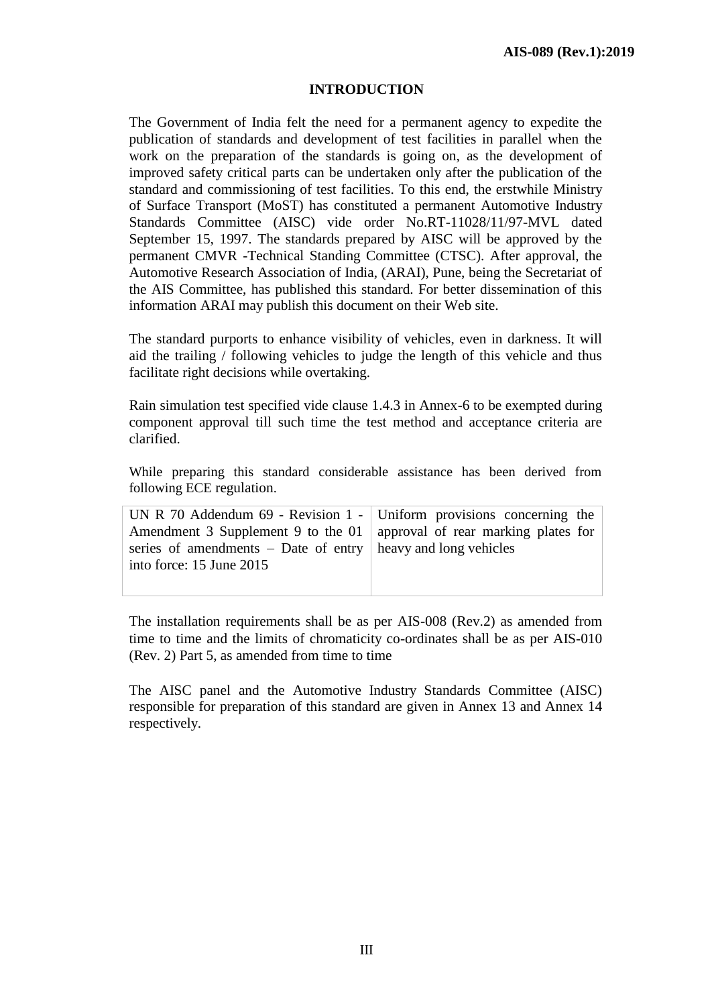# **INTRODUCTION**

The Government of India felt the need for a permanent agency to expedite the publication of standards and development of test facilities in parallel when the work on the preparation of the standards is going on, as the development of improved safety critical parts can be undertaken only after the publication of the standard and commissioning of test facilities. To this end, the erstwhile Ministry of Surface Transport (MoST) has constituted a permanent Automotive Industry Standards Committee (AISC) vide order No.RT-11028/11/97-MVL dated September 15, 1997. The standards prepared by AISC will be approved by the permanent CMVR -Technical Standing Committee (CTSC). After approval, the Automotive Research Association of India, (ARAI), Pune, being the Secretariat of the AIS Committee, has published this standard. For better dissemination of this information ARAI may publish this document on their Web site.

The standard purports to enhance visibility of vehicles, even in darkness. It will aid the trailing / following vehicles to judge the length of this vehicle and thus facilitate right decisions while overtaking.

Rain simulation test specified vide clause 1.4.3 in Annex-6 to be exempted during component approval till such time the test method and acceptance criteria are clarified.

While preparing this standard considerable assistance has been derived from following ECE regulation.

| UN R 70 Addendum 69 - Revision 1 - Uniform provisions concerning the     |  |
|--------------------------------------------------------------------------|--|
| Amendment 3 Supplement 9 to the 01   approval of rear marking plates for |  |
| series of amendments – Date of entry $\vert$ heavy and long vehicles     |  |
| into force: 15 June 2015                                                 |  |
|                                                                          |  |

The installation requirements shall be as per AIS-008 (Rev.2) as amended from time to time and the limits of chromaticity co-ordinates shall be as per AIS-010 (Rev. 2) Part 5, as amended from time to time

The AISC panel and the Automotive Industry Standards Committee (AISC) responsible for preparation of this standard are given in Annex 13 and Annex 14 respectively.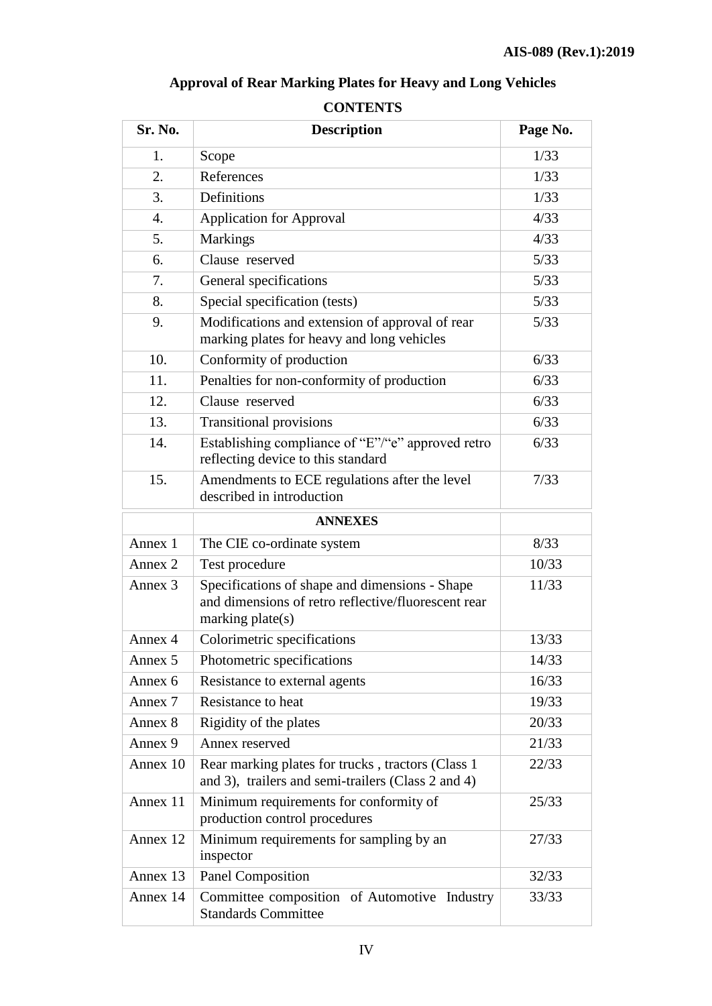# **Approval of Rear Marking Plates for Heavy and Long Vehicles**

# **CONTENTS**

| Sr. No.            | <b>Description</b>                                                                                                          | Page No. |
|--------------------|-----------------------------------------------------------------------------------------------------------------------------|----------|
| 1.                 | Scope                                                                                                                       | 1/33     |
| 2.                 | References                                                                                                                  | 1/33     |
| 3.                 | Definitions                                                                                                                 | 1/33     |
| $\overline{4}$ .   | <b>Application for Approval</b>                                                                                             | 4/33     |
| 5.                 | <b>Markings</b>                                                                                                             | 4/33     |
| 6.                 | Clause reserved                                                                                                             | 5/33     |
| 7.                 | General specifications                                                                                                      | 5/33     |
| 8.                 | Special specification (tests)                                                                                               | 5/33     |
| 9.                 | Modifications and extension of approval of rear<br>marking plates for heavy and long vehicles                               | 5/33     |
| 10.                | Conformity of production                                                                                                    | 6/33     |
| 11.                | Penalties for non-conformity of production                                                                                  | 6/33     |
| 12.                | Clause reserved                                                                                                             | 6/33     |
| 13.                | <b>Transitional provisions</b>                                                                                              | 6/33     |
| 14.                | Establishing compliance of "E"/"e" approved retro<br>reflecting device to this standard                                     | 6/33     |
| 15.                | Amendments to ECE regulations after the level<br>described in introduction                                                  | 7/33     |
|                    | <b>ANNEXES</b>                                                                                                              |          |
| Annex 1            | The CIE co-ordinate system                                                                                                  | 8/33     |
| Annex 2            | Test procedure                                                                                                              | 10/33    |
| Annex <sub>3</sub> | Specifications of shape and dimensions - Shape<br>and dimensions of retro reflective/fluorescent rear<br>marking $plate(s)$ | 11/33    |
| Annex 4            | Colorimetric specifications                                                                                                 | 13/33    |
| Annex 5            | Photometric specifications                                                                                                  | 14/33    |
| Annex 6            | Resistance to external agents                                                                                               | 16/33    |
| Annex 7            | Resistance to heat                                                                                                          | 19/33    |
| Annex 8            | Rigidity of the plates                                                                                                      | 20/33    |
| Annex 9            | Annex reserved                                                                                                              | 21/33    |
| Annex 10           | Rear marking plates for trucks, tractors (Class 1)<br>and 3), trailers and semi-trailers (Class 2 and 4)                    | 22/33    |
| Annex 11           | Minimum requirements for conformity of<br>production control procedures                                                     | 25/33    |
| Annex 12           | Minimum requirements for sampling by an<br>inspector                                                                        | 27/33    |
| Annex 13           | Panel Composition                                                                                                           | 32/33    |
| Annex 14           | Committee composition of Automotive Industry<br><b>Standards Committee</b>                                                  | 33/33    |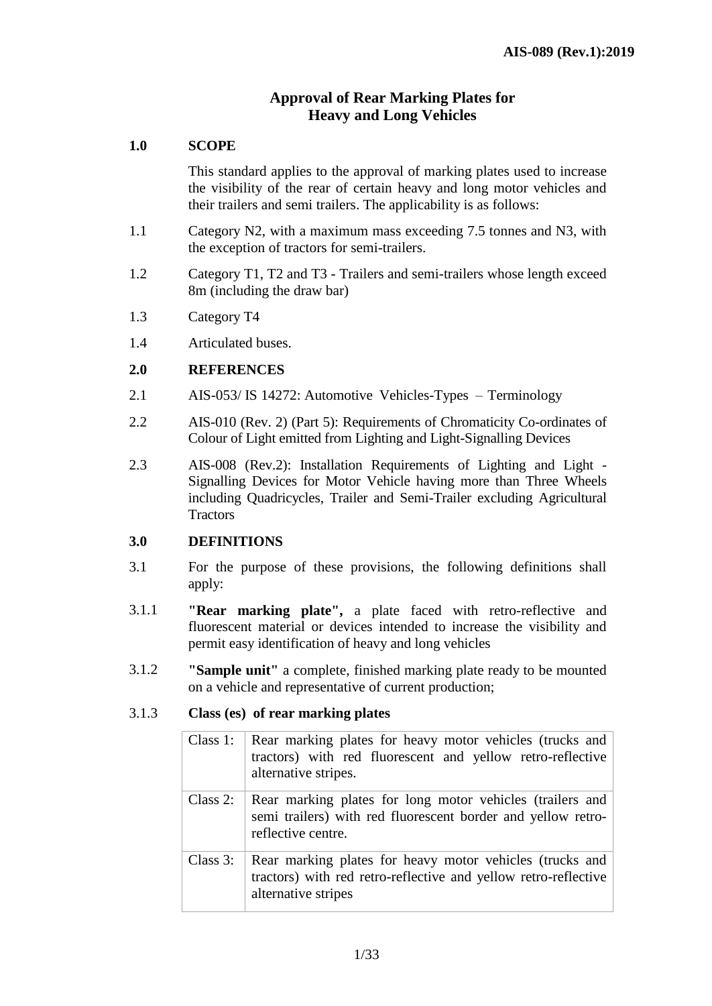# **Approval of Rear Marking Plates for Heavy and Long Vehicles**

# **1.0 SCOPE**

This standard applies to the approval of marking plates used to increase the visibility of the rear of certain heavy and long motor vehicles and their trailers and semi trailers. The applicability is as follows:

- 1.1 Category N2, with a maximum mass exceeding 7.5 tonnes and N3, with the exception of tractors for semi-trailers.
- 1.2 Category T1, T2 and T3 Trailers and semi-trailers whose length exceed 8m (including the draw bar)
- 1.3 Category T4
- 1.4 Articulated buses.

# **2.0 REFERENCES**

- 2.1 AIS-053/ IS 14272: Automotive Vehicles-Types Terminology
- 2.2 AIS-010 (Rev. 2) (Part 5): Requirements of Chromaticity Co-ordinates of Colour of Light emitted from Lighting and Light-Signalling Devices
- 2.3 AIS-008 (Rev.2): Installation Requirements of Lighting and Light -Signalling Devices for Motor Vehicle having more than Three Wheels including Quadricycles, Trailer and Semi-Trailer excluding Agricultural **Tractors**

# **3.0 DEFINITIONS**

- 3.1 For the purpose of these provisions, the following definitions shall apply:
- 3.1.1 **"Rear marking plate",** a plate faced with retro-reflective and fluorescent material or devices intended to increase the visibility and permit easy identification of heavy and long vehicles
- 3.1.2 **"Sample unit"** a complete, finished marking plate ready to be mounted on a vehicle and representative of current production;

# 3.1.3 **Class (es) of rear marking plates**

| Class $1$ : | Rear marking plates for heavy motor vehicles (trucks and<br>tractors) with red fluorescent and yellow retro-reflective<br>alternative stripes.     |
|-------------|----------------------------------------------------------------------------------------------------------------------------------------------------|
| Class $2$ : | Rear marking plates for long motor vehicles (trailers and<br>semi trailers) with red fluorescent border and yellow retro-<br>reflective centre.    |
| Class $3$ : | Rear marking plates for heavy motor vehicles (trucks and<br>tractors) with red retro-reflective and yellow retro-reflective<br>alternative stripes |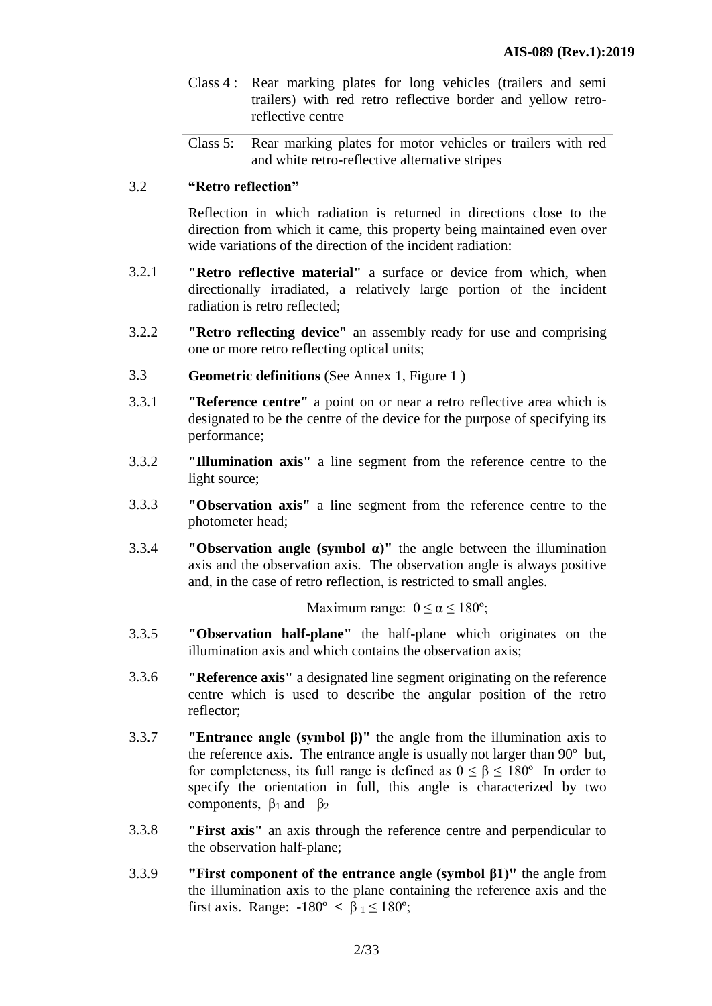| Class 4: Rear marking plates for long vehicles (trailers and semi<br>trailers) with red retro reflective border and yellow retro-<br>reflective centre |
|--------------------------------------------------------------------------------------------------------------------------------------------------------|
| Class 5: Rear marking plates for motor vehicles or trailers with red<br>and white retro-reflective alternative stripes                                 |

#### 3.2 **"Retro reflection"**

Reflection in which radiation is returned in directions close to the direction from which it came, this property being maintained even over wide variations of the direction of the incident radiation:

- 3.2.1 **"Retro reflective material"** a surface or device from which, when directionally irradiated, a relatively large portion of the incident radiation is retro reflected;
- 3.2.2 **"Retro reflecting device"** an assembly ready for use and comprising one or more retro reflecting optical units;
- 3.3 **Geometric definitions** (See Annex 1, Figure 1 )
- 3.3.1 **"Reference centre"** a point on or near a retro reflective area which is designated to be the centre of the device for the purpose of specifying its performance;
- 3.3.2 **"Illumination axis"** a line segment from the reference centre to the light source;
- 3.3.3 **"Observation axis"** a line segment from the reference centre to the photometer head;
- 3.3.4 **"Observation angle (symbol α)"** the angle between the illumination axis and the observation axis. The observation angle is always positive and, in the case of retro reflection, is restricted to small angles.

Maximum range:  $0 \le \alpha \le 180^{\circ}$ ;

- 3.3.5 **"Observation half-plane"** the half-plane which originates on the illumination axis and which contains the observation axis;
- 3.3.6 **"Reference axis"** a designated line segment originating on the reference centre which is used to describe the angular position of the retro reflector;
- 3.3.7 **"Entrance angle (symbol β)"** the angle from the illumination axis to the reference axis. The entrance angle is usually not larger than 90º but, for completeness, its full range is defined as  $0 \le \beta \le 180^{\circ}$  In order to specify the orientation in full, this angle is characterized by two components,  $\beta_1$  and  $\beta_2$
- 3.3.8 **"First axis"** an axis through the reference centre and perpendicular to the observation half-plane;
- 3.3.9 **"First component of the entrance angle (symbol β1)"** the angle from the illumination axis to the plane containing the reference axis and the first axis. Range:  $-180^\circ < \beta_1 \leq 180^\circ$ ;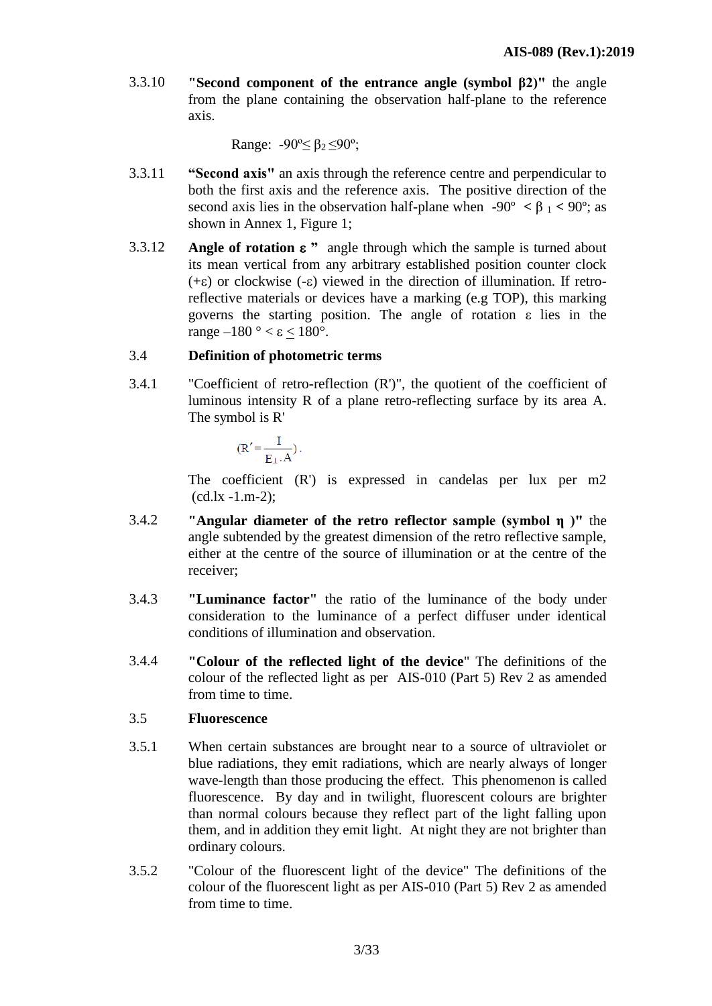3.3.10 **"Second component of the entrance angle (symbol β2)"** the angle from the plane containing the observation half-plane to the reference axis.

Range:  $-90^{\circ} \leq \beta_2 \leq 90^{\circ}$ ;

- 3.3.11 **"Second axis"** an axis through the reference centre and perpendicular to both the first axis and the reference axis. The positive direction of the second axis lies in the observation half-plane when  $-90^{\circ} < \beta_1 < 90^{\circ}$ ; as shown in Annex 1, Figure 1;
- 3.3.12 **Angle of rotation**  $\varepsilon$  " angle through which the sample is turned about its mean vertical from any arbitrary established position counter clock  $(+\epsilon)$  or clockwise  $(-\epsilon)$  viewed in the direction of illumination. If retroreflective materials or devices have a marking (e.g TOP), this marking governs the starting position. The angle of rotation  $\varepsilon$  lies in the range  $-180^\circ < \varepsilon < 180^\circ$ .

# 3.4 **Definition of photometric terms**

3.4.1 "Coefficient of retro-reflection (R')", the quotient of the coefficient of luminous intensity R of a plane retro-reflecting surface by its area A. The symbol is R'

$$
(R' = \frac{I}{E_{\perp} \cdot A}).
$$

The coefficient (R') is expressed in candelas per lux per m2  $(cd.lx -1.m-2);$ 

- 3.4.2 **"Angular diameter of the retro reflector sample (symbol η )"** the angle subtended by the greatest dimension of the retro reflective sample, either at the centre of the source of illumination or at the centre of the receiver;
- 3.4.3 **"Luminance factor"** the ratio of the luminance of the body under consideration to the luminance of a perfect diffuser under identical conditions of illumination and observation.
- 3.4.4 **"Colour of the reflected light of the device**" The definitions of the colour of the reflected light as per AIS-010 (Part 5) Rev 2 as amended from time to time.

# 3.5 **Fluorescence**

- 3.5.1 When certain substances are brought near to a source of ultraviolet or blue radiations, they emit radiations, which are nearly always of longer wave-length than those producing the effect. This phenomenon is called fluorescence. By day and in twilight, fluorescent colours are brighter than normal colours because they reflect part of the light falling upon them, and in addition they emit light. At night they are not brighter than ordinary colours.
- 3.5.2 "Colour of the fluorescent light of the device" The definitions of the colour of the fluorescent light as per AIS-010 (Part 5) Rev 2 as amended from time to time.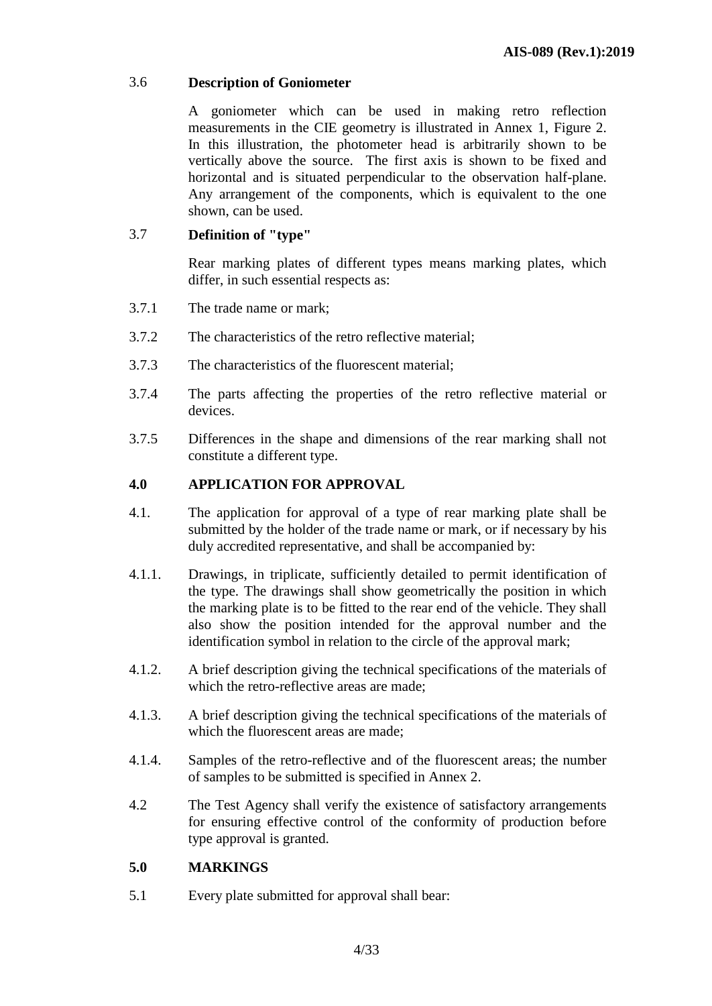# 3.6 **Description of Goniometer**

A goniometer which can be used in making retro reflection measurements in the CIE geometry is illustrated in Annex 1, Figure 2. In this illustration, the photometer head is arbitrarily shown to be vertically above the source. The first axis is shown to be fixed and horizontal and is situated perpendicular to the observation half-plane. Any arrangement of the components, which is equivalent to the one shown, can be used.

# 3.7 **Definition of "type"**

Rear marking plates of different types means marking plates, which differ, in such essential respects as:

- 3.7.1 The trade name or mark;
- 3.7.2 The characteristics of the retro reflective material;
- 3.7.3 The characteristics of the fluorescent material;
- 3.7.4 The parts affecting the properties of the retro reflective material or devices.
- 3.7.5 Differences in the shape and dimensions of the rear marking shall not constitute a different type.

# **4.0 APPLICATION FOR APPROVAL**

- 4.1. The application for approval of a type of rear marking plate shall be submitted by the holder of the trade name or mark, or if necessary by his duly accredited representative, and shall be accompanied by:
- 4.1.1. Drawings, in triplicate, sufficiently detailed to permit identification of the type. The drawings shall show geometrically the position in which the marking plate is to be fitted to the rear end of the vehicle. They shall also show the position intended for the approval number and the identification symbol in relation to the circle of the approval mark;
- 4.1.2. A brief description giving the technical specifications of the materials of which the retro-reflective areas are made;
- 4.1.3. A brief description giving the technical specifications of the materials of which the fluorescent areas are made;
- 4.1.4. Samples of the retro-reflective and of the fluorescent areas; the number of samples to be submitted is specified in Annex 2.
- 4.2 The Test Agency shall verify the existence of satisfactory arrangements for ensuring effective control of the conformity of production before type approval is granted.

# **5.0 MARKINGS**

5.1 Every plate submitted for approval shall bear: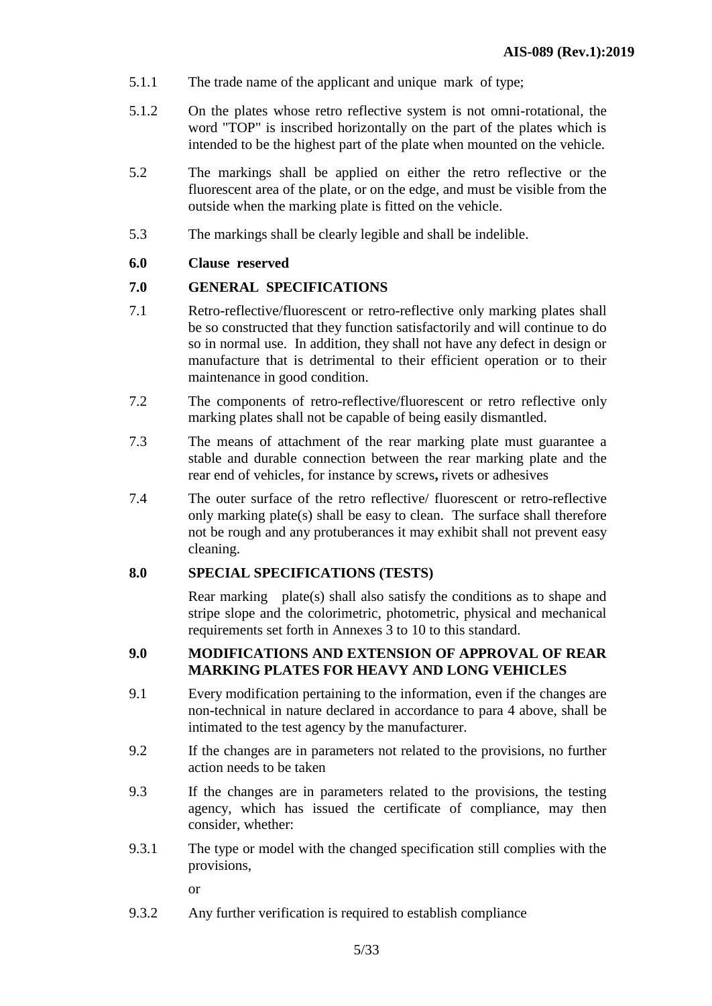- 5.1.1 The trade name of the applicant and unique mark of type;
- 5.1.2 On the plates whose retro reflective system is not omni-rotational, the word "TOP" is inscribed horizontally on the part of the plates which is intended to be the highest part of the plate when mounted on the vehicle.
- 5.2 The markings shall be applied on either the retro reflective or the fluorescent area of the plate, or on the edge, and must be visible from the outside when the marking plate is fitted on the vehicle.
- 5.3 The markings shall be clearly legible and shall be indelible.

#### **6.0 Clause reserved**

#### **7.0 GENERAL SPECIFICATIONS**

- 7.1 Retro-reflective/fluorescent or retro-reflective only marking plates shall be so constructed that they function satisfactorily and will continue to do so in normal use. In addition, they shall not have any defect in design or manufacture that is detrimental to their efficient operation or to their maintenance in good condition.
- 7.2 The components of retro-reflective/fluorescent or retro reflective only marking plates shall not be capable of being easily dismantled.
- 7.3 The means of attachment of the rear marking plate must guarantee a stable and durable connection between the rear marking plate and the rear end of vehicles, for instance by screws**,** rivets or adhesives
- 7.4 The outer surface of the retro reflective/ fluorescent or retro-reflective only marking plate(s) shall be easy to clean. The surface shall therefore not be rough and any protuberances it may exhibit shall not prevent easy cleaning.

# **8.0 SPECIAL SPECIFICATIONS (TESTS)**

Rear markingplate(s) shall also satisfy the conditions as to shape and stripe slope and the colorimetric, photometric, physical and mechanical requirements set forth in Annexes 3 to 10 to this standard.

## **9.0 MODIFICATIONS AND EXTENSION OF APPROVAL OF REAR MARKING PLATES FOR HEAVY AND LONG VEHICLES**

- 9.1 Every modification pertaining to the information, even if the changes are non-technical in nature declared in accordance to para 4 above, shall be intimated to the test agency by the manufacturer.
- 9.2 If the changes are in parameters not related to the provisions, no further action needs to be taken
- 9.3 If the changes are in parameters related to the provisions, the testing agency, which has issued the certificate of compliance, may then consider, whether:
- 9.3.1 The type or model with the changed specification still complies with the provisions,

or

9.3.2 Any further verification is required to establish compliance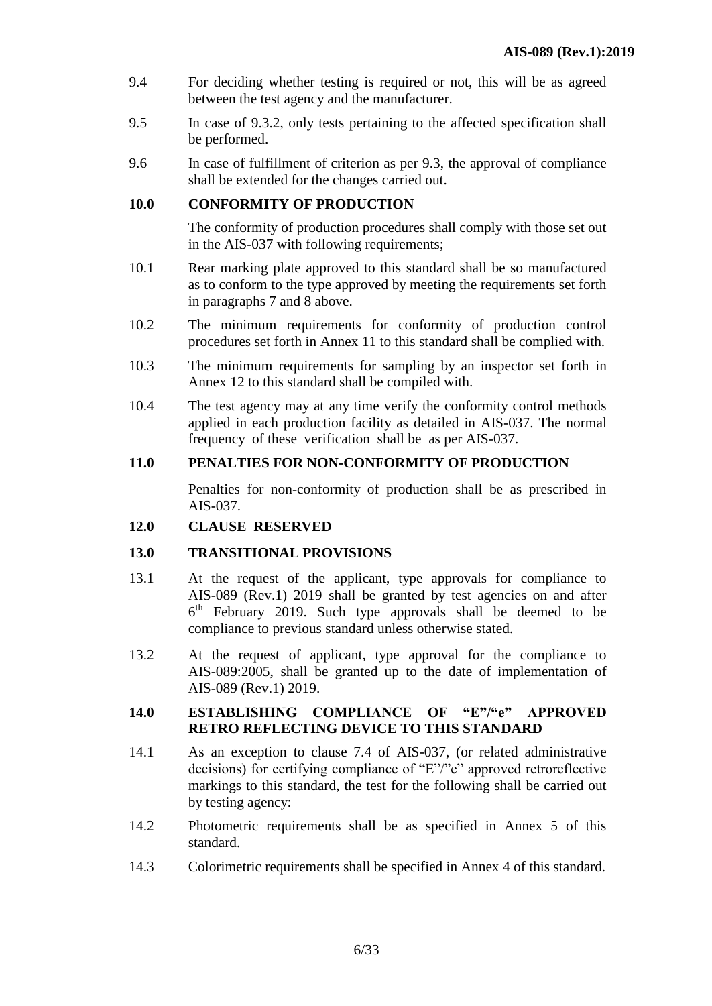- 9.4 For deciding whether testing is required or not, this will be as agreed between the test agency and the manufacturer.
- 9.5 In case of 9.3.2, only tests pertaining to the affected specification shall be performed.
- 9.6 In case of fulfillment of criterion as per 9.3, the approval of compliance shall be extended for the changes carried out.

#### **10.0 CONFORMITY OF PRODUCTION**

The conformity of production procedures shall comply with those set out in the AIS-037 with following requirements;

- 10.1 Rear marking plate approved to this standard shall be so manufactured as to conform to the type approved by meeting the requirements set forth in paragraphs 7 and 8 above.
- 10.2 The minimum requirements for conformity of production control procedures set forth in Annex 11 to this standard shall be complied with.
- 10.3 The minimum requirements for sampling by an inspector set forth in Annex 12 to this standard shall be compiled with.
- 10.4 The test agency may at any time verify the conformity control methods applied in each production facility as detailed in AIS-037. The normal frequency of these verification shall be as per AIS-037.

#### **11.0 PENALTIES FOR NON-CONFORMITY OF PRODUCTION**

Penalties for non-conformity of production shall be as prescribed in AIS-037.

#### **12.0 CLAUSE RESERVED**

# **13.0 TRANSITIONAL PROVISIONS**

- 13.1 At the request of the applicant, type approvals for compliance to AIS-089 (Rev.1) 2019 shall be granted by test agencies on and after 6<sup>th</sup> February 2019. Such type approvals shall be deemed to be compliance to previous standard unless otherwise stated.
- 13.2 At the request of applicant, type approval for the compliance to AIS-089:2005, shall be granted up to the date of implementation of AIS-089 (Rev.1) 2019.

#### **14.0 ESTABLISHING COMPLIANCE OF "E"/"e" APPROVED RETRO REFLECTING DEVICE TO THIS STANDARD**

- 14.1 As an exception to clause 7.4 of AIS-037, (or related administrative decisions) for certifying compliance of "E"/"e" approved retroreflective markings to this standard, the test for the following shall be carried out by testing agency:
- 14.2 Photometric requirements shall be as specified in Annex 5 of this standard.
- 14.3 Colorimetric requirements shall be specified in Annex 4 of this standard.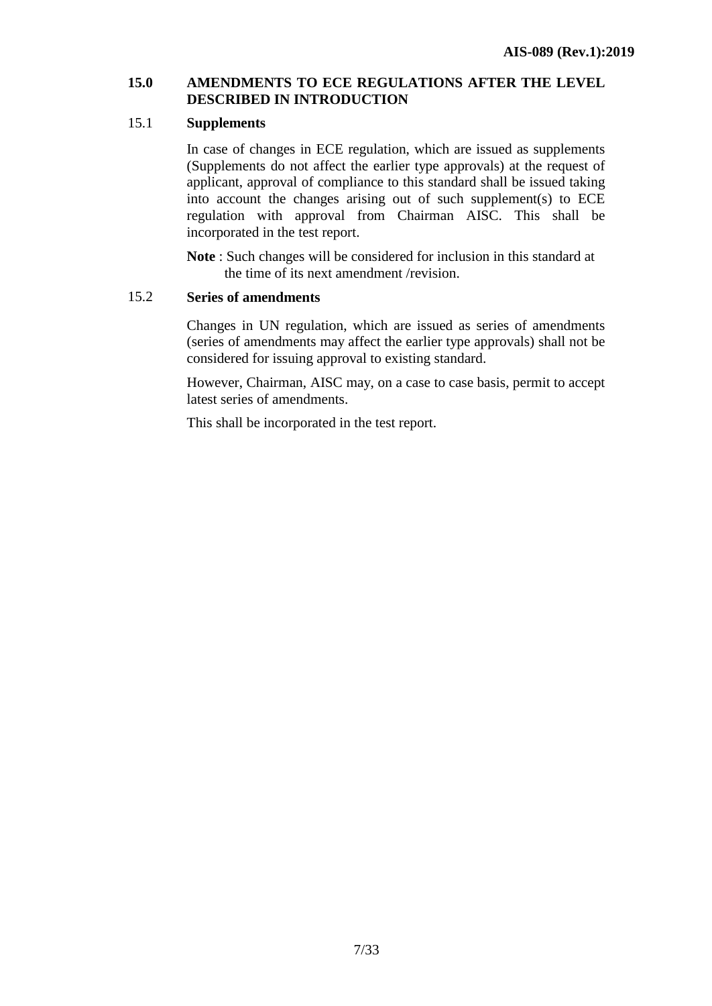#### **15.0 AMENDMENTS TO ECE REGULATIONS AFTER THE LEVEL DESCRIBED IN INTRODUCTION**

#### 15.1 **Supplements**

In case of changes in ECE regulation, which are issued as supplements (Supplements do not affect the earlier type approvals) at the request of applicant, approval of compliance to this standard shall be issued taking into account the changes arising out of such supplement(s) to ECE regulation with approval from Chairman AISC. This shall be incorporated in the test report.

**Note** : Such changes will be considered for inclusion in this standard at the time of its next amendment /revision.

#### 15.2 **Series of amendments**

Changes in UN regulation, which are issued as series of amendments (series of amendments may affect the earlier type approvals) shall not be considered for issuing approval to existing standard.

However, Chairman, AISC may, on a case to case basis, permit to accept latest series of amendments.

This shall be incorporated in the test report.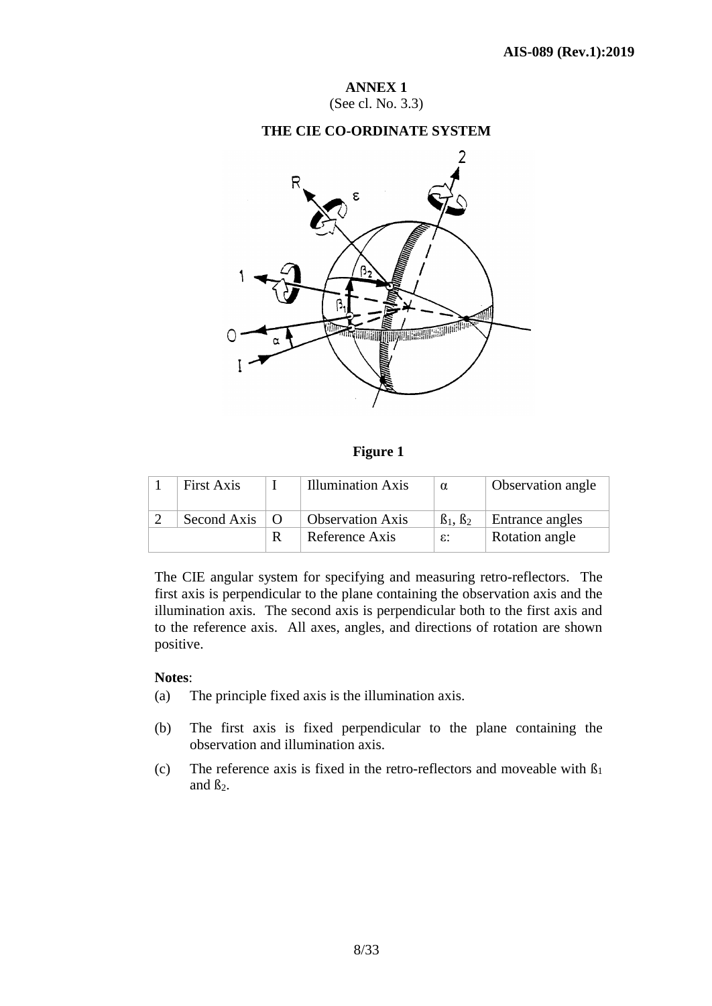**ANNEX 1** (See cl. No. 3.3)

### **THE CIE CO-ORDINATE SYSTEM**



**Figure 1**

| <b>First Axis</b> |                | <b>Illumination Axis</b> | $\alpha$              | Observation angle |
|-------------------|----------------|--------------------------|-----------------------|-------------------|
| Second Axis       | $\overline{O}$ | <b>Observation Axis</b>  | $\beta_1$ , $\beta_2$ | Entrance angles   |
|                   |                | Reference Axis           | $\varepsilon$ :       | Rotation angle    |

The CIE angular system for specifying and measuring retro-reflectors. The first axis is perpendicular to the plane containing the observation axis and the illumination axis. The second axis is perpendicular both to the first axis and to the reference axis. All axes, angles, and directions of rotation are shown positive.

#### **Notes**:

- (a) The principle fixed axis is the illumination axis.
- (b) The first axis is fixed perpendicular to the plane containing the observation and illumination axis.
- (c) The reference axis is fixed in the retro-reflectors and moveable with  $\beta_1$ and  $\beta_2$ .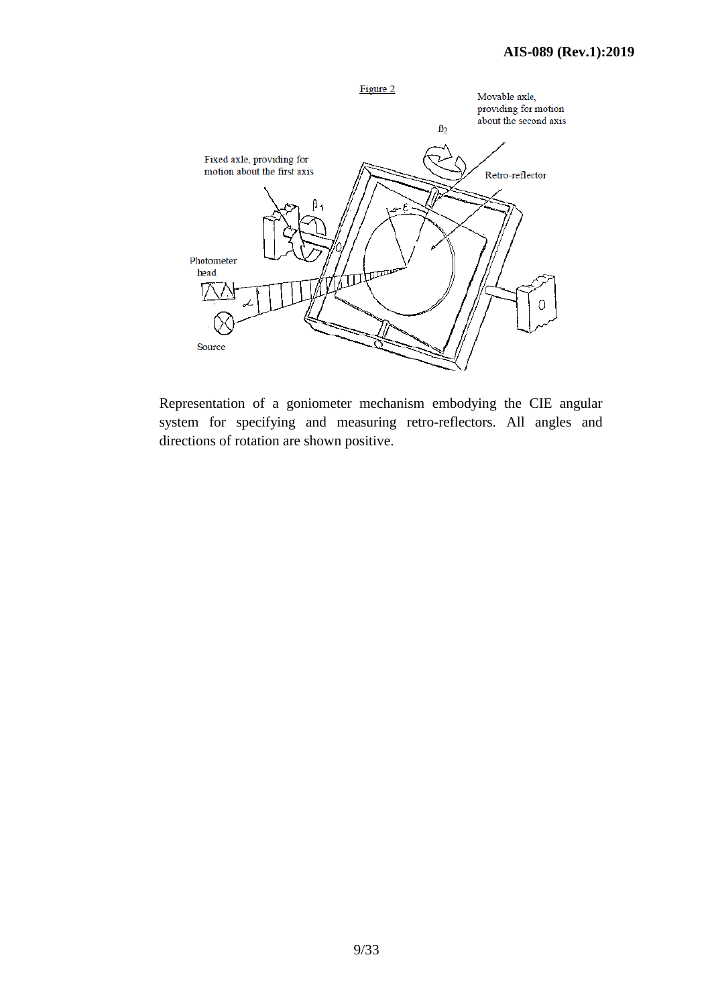

Representation of a goniometer mechanism embodying the CIE angular system for specifying and measuring retro-reflectors. All angles and directions of rotation are shown positive.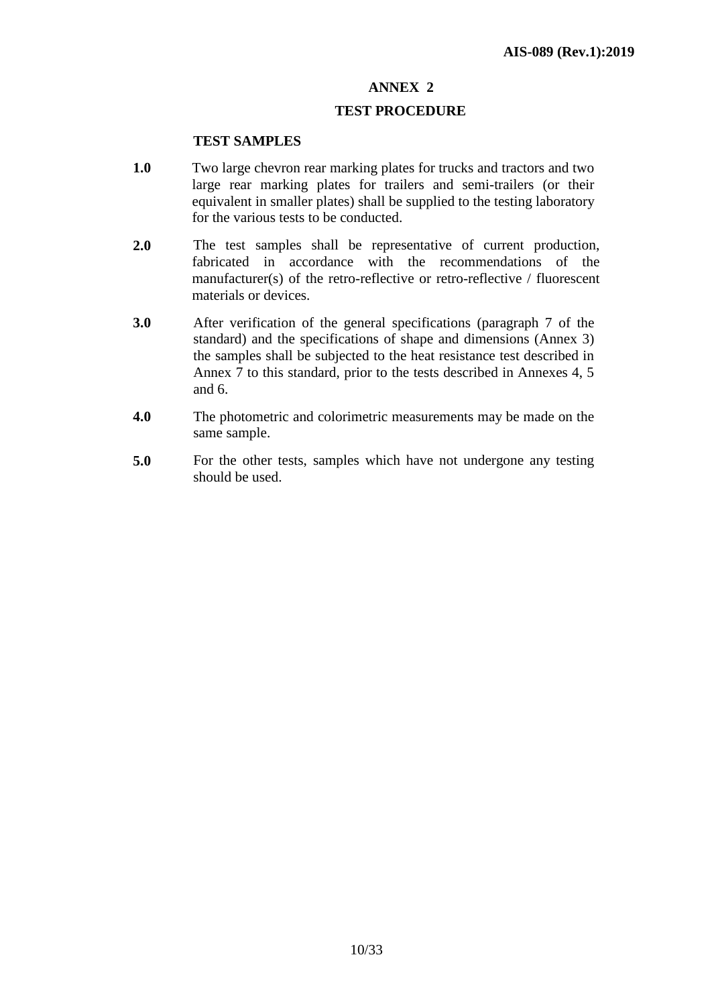#### **TEST PROCEDURE**

#### **TEST SAMPLES**

- **1.0** Two large chevron rear marking plates for trucks and tractors and two large rear marking plates for trailers and semi-trailers (or their equivalent in smaller plates) shall be supplied to the testing laboratory for the various tests to be conducted.
- **2.0** The test samples shall be representative of current production, fabricated in accordance with the recommendations of the manufacturer(s) of the retro-reflective or retro-reflective / fluorescent materials or devices.
- **3.0** After verification of the general specifications (paragraph 7 of the standard) and the specifications of shape and dimensions (Annex 3) the samples shall be subjected to the heat resistance test described in Annex 7 to this standard, prior to the tests described in Annexes 4, 5 and 6.
- **4.0** The photometric and colorimetric measurements may be made on the same sample.
- **5.0** For the other tests, samples which have not undergone any testing should be used.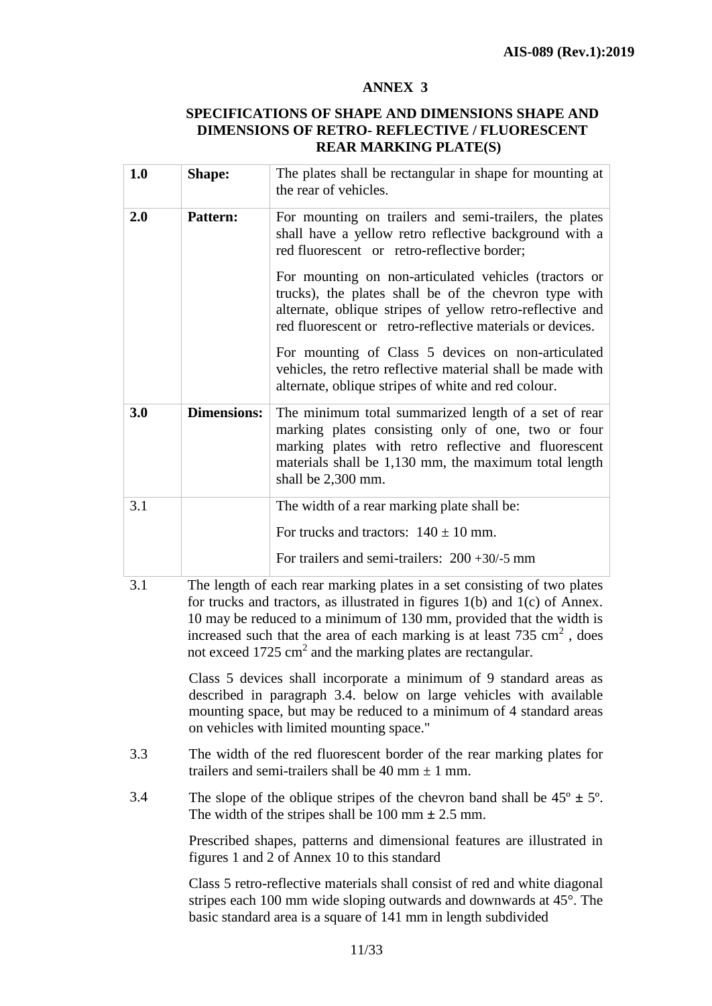#### **SPECIFICATIONS OF SHAPE AND DIMENSIONS SHAPE AND DIMENSIONS OF RETRO- REFLECTIVE / FLUORESCENT REAR MARKING PLATE(S)**

| 1.0       | <b>Shape:</b>      | The plates shall be rectangular in shape for mounting at<br>the rear of vehicles.                                                                                                                                                                                                                                                                                                                                                                                                                                                                                                      |
|-----------|--------------------|----------------------------------------------------------------------------------------------------------------------------------------------------------------------------------------------------------------------------------------------------------------------------------------------------------------------------------------------------------------------------------------------------------------------------------------------------------------------------------------------------------------------------------------------------------------------------------------|
| 2.0       | <b>Pattern:</b>    | For mounting on trailers and semi-trailers, the plates<br>shall have a yellow retro reflective background with a<br>red fluorescent or retro-reflective border;<br>For mounting on non-articulated vehicles (tractors or<br>trucks), the plates shall be of the chevron type with<br>alternate, oblique stripes of yellow retro-reflective and<br>red fluorescent or retro-reflective materials or devices.<br>For mounting of Class 5 devices on non-articulated<br>vehicles, the retro reflective material shall be made with<br>alternate, oblique stripes of white and red colour. |
| 3.0       | <b>Dimensions:</b> | The minimum total summarized length of a set of rear<br>marking plates consisting only of one, two or four<br>marking plates with retro reflective and fluorescent<br>materials shall be 1,130 mm, the maximum total length<br>shall be 2,300 mm.                                                                                                                                                                                                                                                                                                                                      |
| 3.1<br>21 |                    | The width of a rear marking plate shall be:<br>For trucks and tractors: $140 \pm 10$ mm.<br>For trailers and semi-trailers: $200 + 30/5$ mm<br>The length of each near marking plates in a set consisting of two plates                                                                                                                                                                                                                                                                                                                                                                |

3.1 The length of each rear marking plates in a set consisting of two plates for trucks and tractors, as illustrated in figures 1(b) and 1(c) of Annex. 10 may be reduced to a minimum of 130 mm, provided that the width is increased such that the area of each marking is at least  $735 \text{ cm}^2$ , does not exceed  $1725 \text{ cm}^2$  and the marking plates are rectangular.

> Class 5 devices shall incorporate a minimum of 9 standard areas as described in paragraph 3.4. below on large vehicles with available mounting space, but may be reduced to a minimum of 4 standard areas on vehicles with limited mounting space."

- 3.3 The width of the red fluorescent border of the rear marking plates for trailers and semi-trailers shall be 40 mm  $\pm$  1 mm.
- 3.4 The slope of the oblique stripes of the chevron band shall be  $45^{\circ} \pm 5^{\circ}$ . The width of the stripes shall be  $100 \text{ mm} \pm 2.5 \text{ mm}$ .

Prescribed shapes, patterns and dimensional features are illustrated in figures 1 and 2 of Annex 10 to this standard

Class 5 retro-reflective materials shall consist of red and white diagonal stripes each 100 mm wide sloping outwards and downwards at 45°. The basic standard area is a square of 141 mm in length subdivided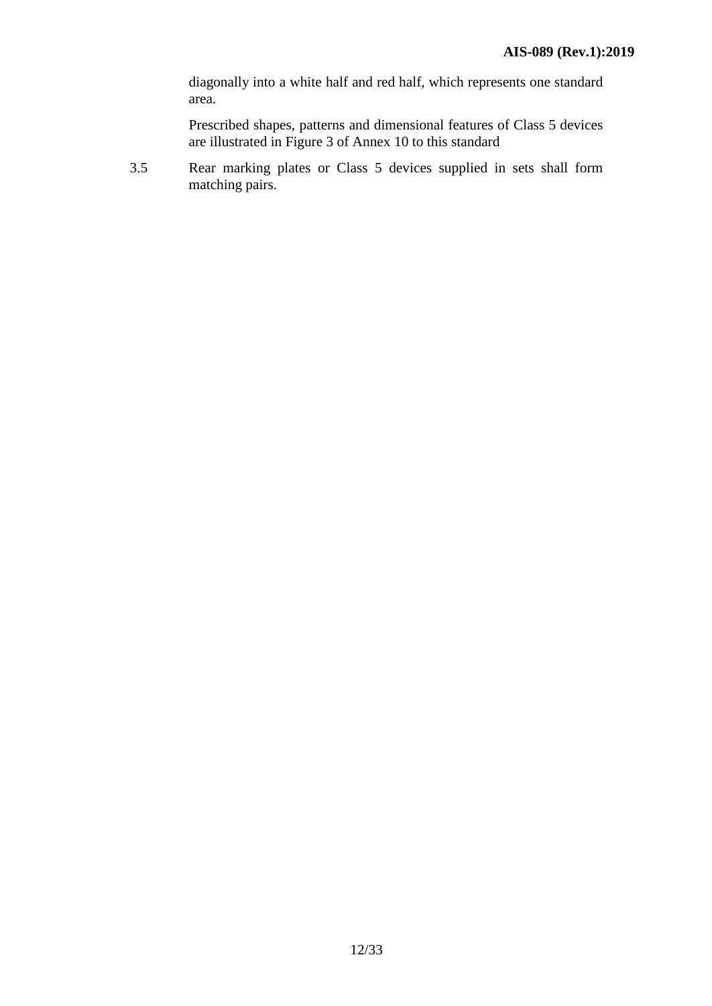diagonally into a white half and red half, which represents one standard area.

Prescribed shapes, patterns and dimensional features of Class 5 devices are illustrated in Figure 3 of Annex 10 to this standard

3.5 Rear marking plates or Class 5 devices supplied in sets shall form matching pairs.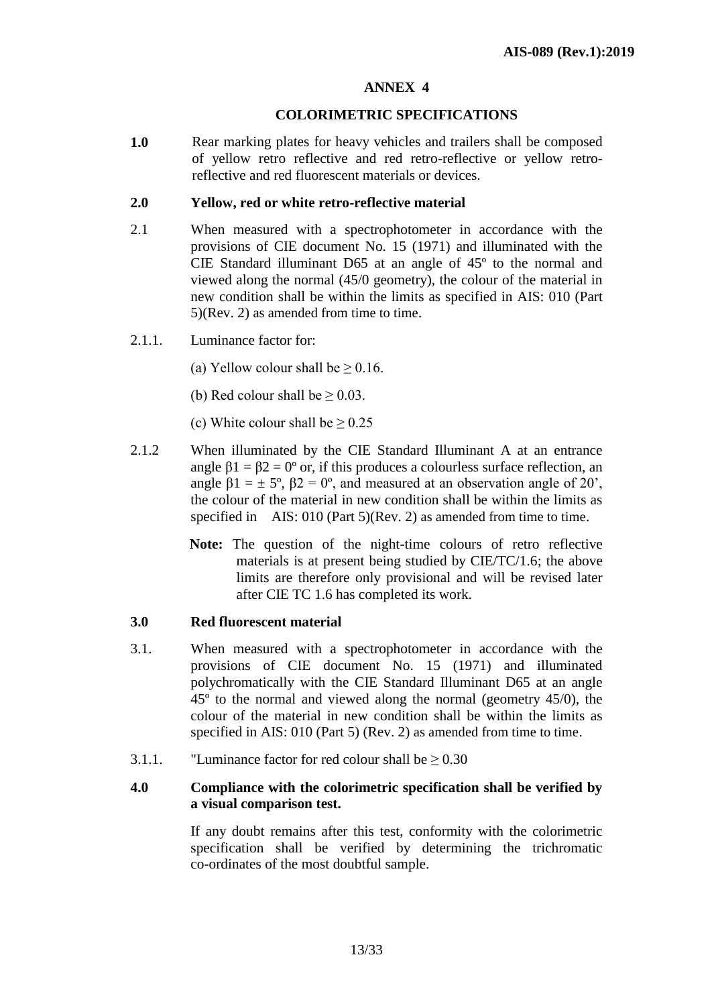### **COLORIMETRIC SPECIFICATIONS**

**1.0** Rear marking plates for heavy vehicles and trailers shall be composed of yellow retro reflective and red retro-reflective or yellow retroreflective and red fluorescent materials or devices.

#### **2.0 Yellow, red or white retro-reflective material**

- 2.1 When measured with a spectrophotometer in accordance with the provisions of CIE document No. 15 (1971) and illuminated with the CIE Standard illuminant D65 at an angle of 45º to the normal and viewed along the normal (45/0 geometry), the colour of the material in new condition shall be within the limits as specified in AIS: 010 (Part 5)(Rev. 2) as amended from time to time.
- 2.1.1. Luminance factor for:
	- (a) Yellow colour shall be  $> 0.16$ .
	- (b) Red colour shall be  $\geq 0.03$ .
	- (c) White colour shall be  $> 0.25$
- 2.1.2 When illuminated by the CIE Standard Illuminant A at an entrance angle  $\beta$ 1 =  $\beta$ 2 = 0° or, if this produces a colourless surface reflection, an angle  $\beta$ 1 =  $\pm$  5°,  $\beta$ 2 = 0°, and measured at an observation angle of 20', the colour of the material in new condition shall be within the limits as specified in AIS: 010 (Part 5)(Rev. 2) as amended from time to time.
	- **Note:** The question of the night-time colours of retro reflective materials is at present being studied by CIE/TC/1.6; the above limits are therefore only provisional and will be revised later after CIE TC 1.6 has completed its work.

# **3.0 Red fluorescent material**

- 3.1. When measured with a spectrophotometer in accordance with the provisions of CIE document No. 15 (1971) and illuminated polychromatically with the CIE Standard Illuminant D65 at an angle 45º to the normal and viewed along the normal (geometry 45/0), the colour of the material in new condition shall be within the limits as specified in AIS: 010 (Part 5) (Rev. 2) as amended from time to time.
- 3.1.1. "Luminance factor for red colour shall be  $\geq 0.30$

#### **4.0 Compliance with the colorimetric specification shall be verified by a visual comparison test.**

If any doubt remains after this test, conformity with the colorimetric specification shall be verified by determining the trichromatic co-ordinates of the most doubtful sample.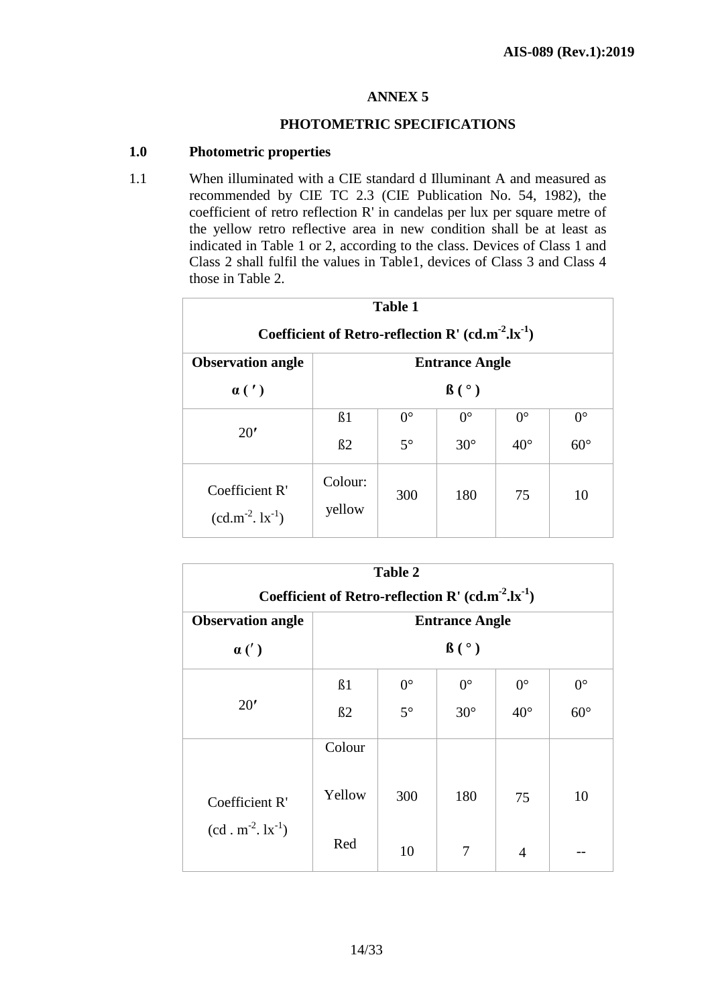#### **PHOTOMETRIC SPECIFICATIONS**

### **1.0 Photometric properties**

1.1 When illuminated with a CIE standard d Illuminant A and measured as recommended by CIE TC 2.3 (CIE Publication No. 54, 1982), the coefficient of retro reflection R' in candelas per lux per square metre of the yellow retro reflective area in new condition shall be at least as indicated in Table 1 or 2, according to the class. Devices of Class 1 and Class 2 shall fulfil the values in Table1, devices of Class 3 and Class 4 those in Table 2.

| <b>Table 1</b>                                           |                       |             |             |              |             |  |  |
|----------------------------------------------------------|-----------------------|-------------|-------------|--------------|-------------|--|--|
| Coefficient of Retro-reflection R' $(cd.m^{-2}.lx^{-1})$ |                       |             |             |              |             |  |  |
| <b>Observation angle</b>                                 | <b>Entrance Angle</b> |             |             |              |             |  |  |
| $\alpha(')$                                              | $\beta$ ( $\degree$ ) |             |             |              |             |  |  |
| 20'                                                      | B <sub>1</sub>        | $0^{\circ}$ | $0^{\circ}$ | $0^{\circ}$  | $0^{\circ}$ |  |  |
|                                                          | B2                    | $5^\circ$   | $30^\circ$  | $40^{\circ}$ | $60^\circ$  |  |  |
| Coefficient R'<br>$(cd.m^{-2}.lx^{-1})$                  | Colour:<br>yellow     | 300         | 180         | 75           | 10          |  |  |

| <b>Table 2</b>                                           |                       |             |             |                |             |  |  |
|----------------------------------------------------------|-----------------------|-------------|-------------|----------------|-------------|--|--|
| Coefficient of Retro-reflection R' $(cd.m^{-2}.lx^{-1})$ |                       |             |             |                |             |  |  |
| <b>Observation angle</b>                                 | <b>Entrance Angle</b> |             |             |                |             |  |  |
| $\alpha(')$                                              | $\beta$ ( $\degree$ ) |             |             |                |             |  |  |
|                                                          | B <sub>1</sub>        | $0^{\circ}$ | $0^{\circ}$ | $0^{\circ}$    | $0^{\circ}$ |  |  |
| 20'                                                      | B2                    | $5^\circ$   | $30^\circ$  | $40^{\circ}$   | $60^\circ$  |  |  |
|                                                          | Colour                |             |             |                |             |  |  |
| Coefficient R'                                           | Yellow                | 300         | 180         | 75             | 10          |  |  |
| $(cd \cdot m^{-2} \cdot lx^{-1})$                        | Red                   | 10          | 7           | $\overline{A}$ |             |  |  |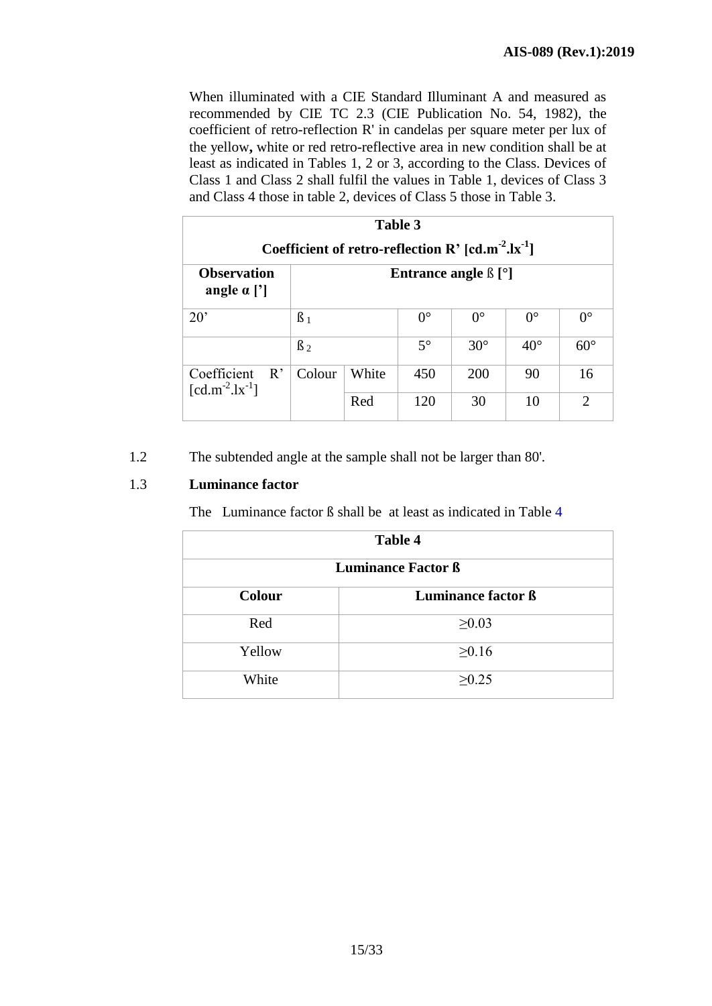When illuminated with a CIE Standard Illuminant A and measured as recommended by CIE TC 2.3 (CIE Publication No. 54, 1982), the coefficient of retro-reflection R' in candelas per square meter per lux of the yellow**,** white or red retro-reflective area in new condition shall be at least as indicated in Tables 1, 2 or 3, according to the Class. Devices of Class 1 and Class 2 shall fulfil the values in Table 1, devices of Class 3 and Class 4 those in table 2, devices of Class 5 those in Table 3.

| Table 3<br>Coefficient of retro-reflection R' $[cd.m^{-2}.lx^{-1}]$    |           |       |             |             |              |             |
|------------------------------------------------------------------------|-----------|-------|-------------|-------------|--------------|-------------|
| <b>Observation</b><br>Entrance angle $\beta$ [°]<br>angle $\alpha$ ['] |           |       |             |             |              |             |
| $20^{\circ}$                                                           | $\beta_1$ |       | $0^{\circ}$ | $0^{\circ}$ | $0^{\circ}$  | $0^{\circ}$ |
|                                                                        | $\beta_2$ |       | $5^\circ$   | $30^\circ$  | $40^{\circ}$ | $60^\circ$  |
| Coefficient<br>R'<br>$[cd.m^{-2}.lx^{-1}]$                             | Colour    | White | 450         | 200         | 90           | 16          |
|                                                                        |           | Red   | 120         | 30          | 10           | 2           |

1.2 The subtended angle at the sample shall not be larger than 80'.

# 1.3 **Luminance factor**

The Luminance factor ß shall be at least as indicated in Table 4

| <b>Table 4</b>               |             |  |  |  |  |  |
|------------------------------|-------------|--|--|--|--|--|
| <b>Luminance Factor ß</b>    |             |  |  |  |  |  |
| Luminance factor ß<br>Colour |             |  |  |  |  |  |
| Red                          | $\geq 0.03$ |  |  |  |  |  |
| Yellow                       | $\geq 0.16$ |  |  |  |  |  |
| White                        | $\geq 0.25$ |  |  |  |  |  |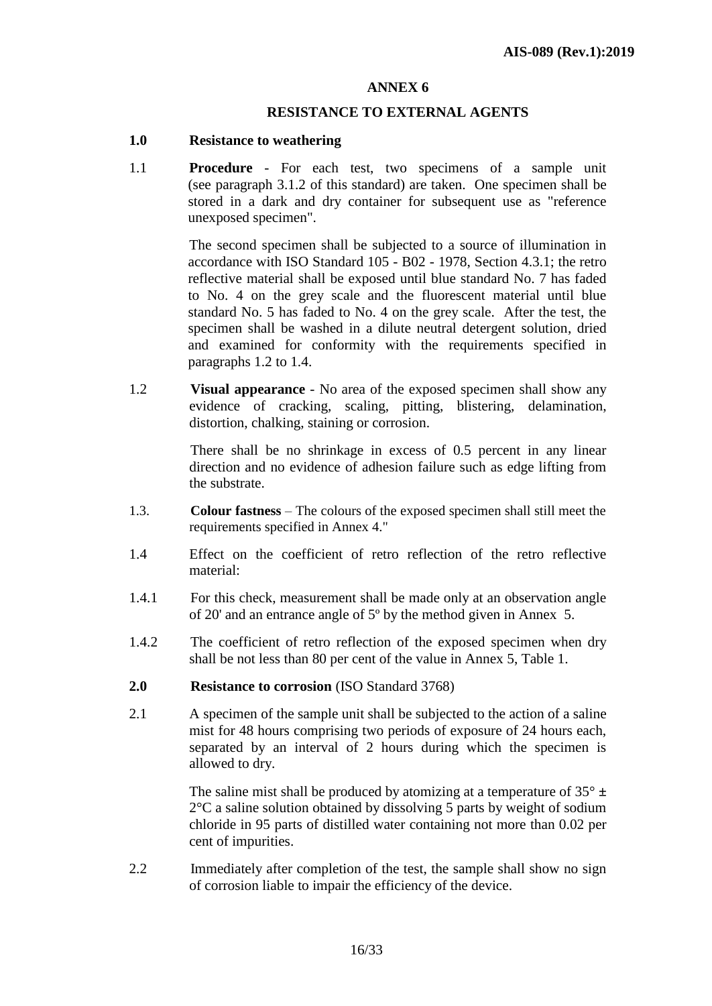#### **RESISTANCE TO EXTERNAL AGENTS**

#### **1.0 Resistance to weathering**

1.1 **Procedure** - For each test, two specimens of a sample unit (see paragraph 3.1.2 of this standard) are taken. One specimen shall be stored in a dark and dry container for subsequent use as "reference unexposed specimen".

> The second specimen shall be subjected to a source of illumination in accordance with ISO Standard 105 - B02 - 1978, Section 4.3.1; the retro reflective material shall be exposed until blue standard No. 7 has faded to No. 4 on the grey scale and the fluorescent material until blue standard No. 5 has faded to No. 4 on the grey scale. After the test, the specimen shall be washed in a dilute neutral detergent solution, dried and examined for conformity with the requirements specified in paragraphs 1.2 to 1.4.

1.2 **Visual appearance** - No area of the exposed specimen shall show any evidence of cracking, scaling, pitting, blistering, delamination, distortion, chalking, staining or corrosion.

> There shall be no shrinkage in excess of 0.5 percent in any linear direction and no evidence of adhesion failure such as edge lifting from the substrate.

- 1.3. **Colour fastness** The colours of the exposed specimen shall still meet the requirements specified in Annex 4."
- 1.4 Effect on the coefficient of retro reflection of the retro reflective material:
- 1.4.1 For this check, measurement shall be made only at an observation angle of 20' and an entrance angle of 5º by the method given in Annex 5.
- 1.4.2 The coefficient of retro reflection of the exposed specimen when dry shall be not less than 80 per cent of the value in Annex 5, Table 1.
- **2.0 Resistance to corrosion** (ISO Standard 3768)
- 2.1 A specimen of the sample unit shall be subjected to the action of a saline mist for 48 hours comprising two periods of exposure of 24 hours each, separated by an interval of 2 hours during which the specimen is allowed to dry.

The saline mist shall be produced by atomizing at a temperature of  $35^{\circ}$   $\pm$ 2°C a saline solution obtained by dissolving 5 parts by weight of sodium chloride in 95 parts of distilled water containing not more than 0.02 per cent of impurities.

2.2 Immediately after completion of the test, the sample shall show no sign of corrosion liable to impair the efficiency of the device.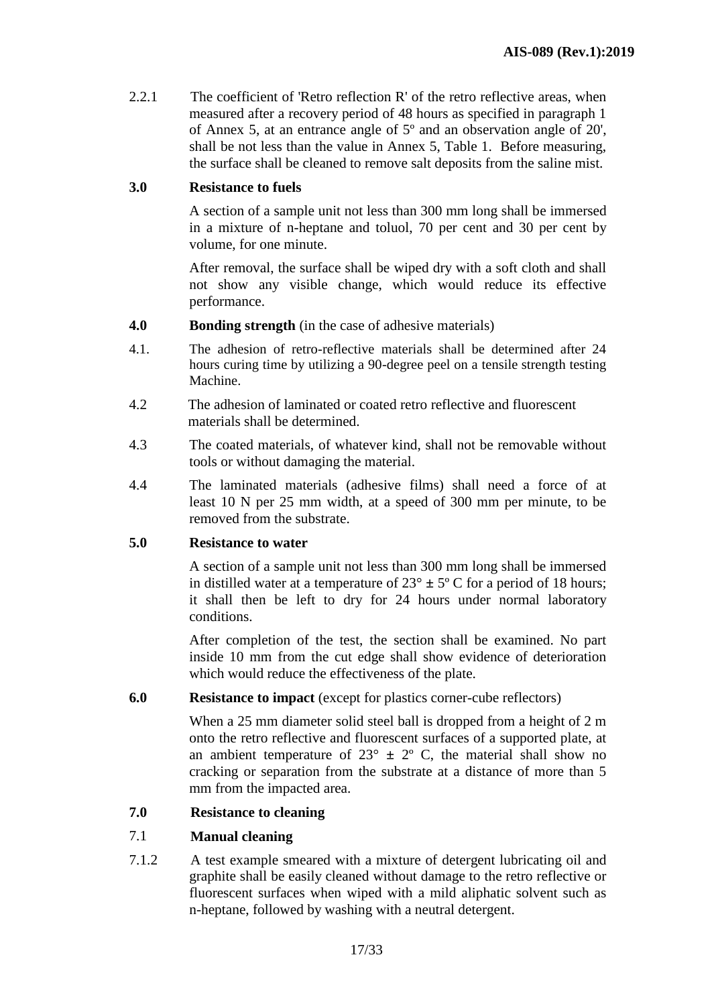2.2.1 The coefficient of 'Retro reflection R' of the retro reflective areas, when measured after a recovery period of 48 hours as specified in paragraph 1 of Annex 5, at an entrance angle of 5º and an observation angle of 20', shall be not less than the value in Annex 5, Table 1. Before measuring, the surface shall be cleaned to remove salt deposits from the saline mist.

## **3.0 Resistance to fuels**

A section of a sample unit not less than 300 mm long shall be immersed in a mixture of n-heptane and toluol, 70 per cent and 30 per cent by volume, for one minute.

After removal, the surface shall be wiped dry with a soft cloth and shall not show any visible change, which would reduce its effective performance.

- **4.0 Bonding strength** (in the case of adhesive materials)
- 4.1. The adhesion of retro-reflective materials shall be determined after 24 hours curing time by utilizing a 90-degree peel on a tensile strength testing Machine.
- 4.2 The adhesion of laminated or coated retro reflective and fluorescent materials shall be determined.
- 4.3 The coated materials, of whatever kind, shall not be removable without tools or without damaging the material.
- 4.4 The laminated materials (adhesive films) shall need a force of at least 10 N per 25 mm width, at a speed of 300 mm per minute, to be removed from the substrate.

# **5.0 Resistance to water**

A section of a sample unit not less than 300 mm long shall be immersed in distilled water at a temperature of  $23^{\circ} \pm 5^{\circ}$  C for a period of 18 hours; it shall then be left to dry for 24 hours under normal laboratory conditions.

After completion of the test, the section shall be examined. No part inside 10 mm from the cut edge shall show evidence of deterioration which would reduce the effectiveness of the plate.

#### **6.0 Resistance to impact** (except for plastics corner-cube reflectors)

When a 25 mm diameter solid steel ball is dropped from a height of 2 m onto the retro reflective and fluorescent surfaces of a supported plate, at an ambient temperature of  $23^{\circ} \pm 2^{\circ}$  C, the material shall show no cracking or separation from the substrate at a distance of more than 5 mm from the impacted area.

#### **7.0 Resistance to cleaning**

#### 7.1 **Manual cleaning**

7.1.2 A test example smeared with a mixture of detergent lubricating oil and graphite shall be easily cleaned without damage to the retro reflective or fluorescent surfaces when wiped with a mild aliphatic solvent such as n-heptane, followed by washing with a neutral detergent.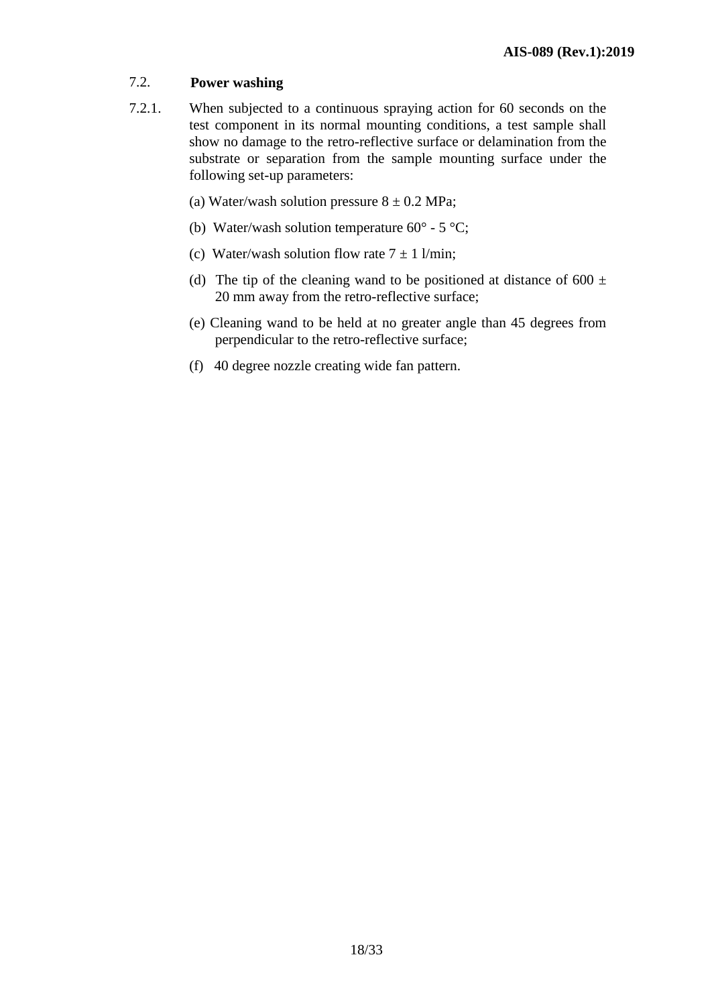# 7.2. **Power washing**

- 7.2.1. When subjected to a continuous spraying action for 60 seconds on the test component in its normal mounting conditions, a test sample shall show no damage to the retro-reflective surface or delamination from the substrate or separation from the sample mounting surface under the following set-up parameters:
	- (a) Water/wash solution pressure  $8 \pm 0.2$  MPa;
	- (b) Water/wash solution temperature  $60^{\circ}$  5  $^{\circ}$ C;
	- (c) Water/wash solution flow rate  $7 \pm 1$  l/min;
	- (d) The tip of the cleaning wand to be positioned at distance of 600  $\pm$ 20 mm away from the retro-reflective surface;
	- (e) Cleaning wand to be held at no greater angle than 45 degrees from perpendicular to the retro-reflective surface;
	- (f) 40 degree nozzle creating wide fan pattern.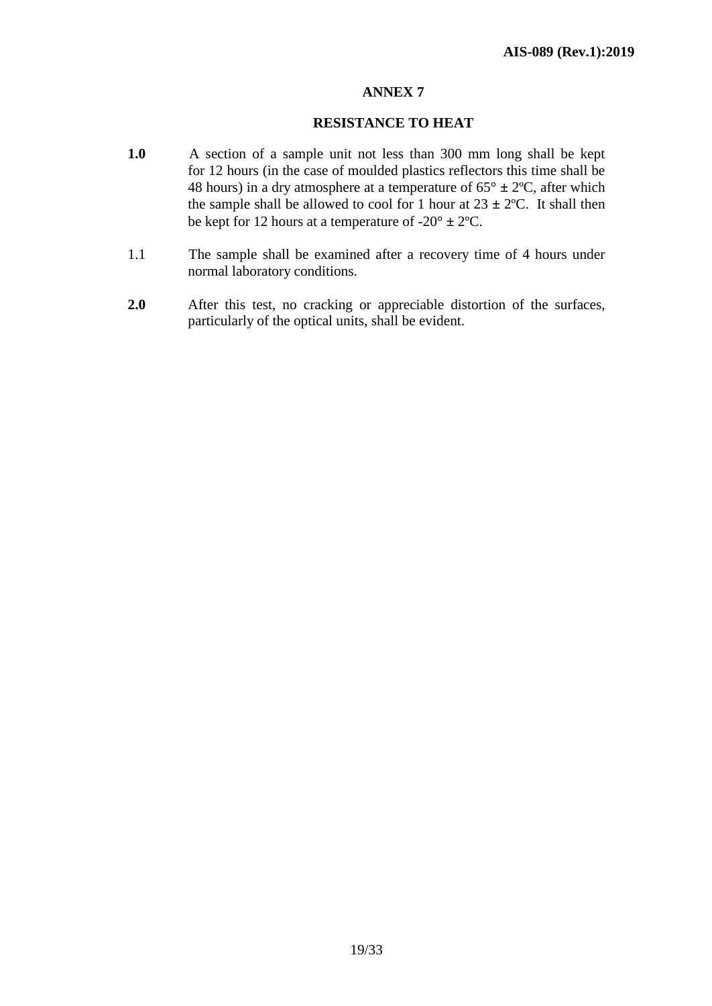#### **RESISTANCE TO HEAT**

- **1.0** A section of a sample unit not less than 300 mm long shall be kept for 12 hours (in the case of moulded plastics reflectors this time shall be 48 hours) in a dry atmosphere at a temperature of  $65^{\circ} \pm 2^{\circ}C$ , after which the sample shall be allowed to cool for 1 hour at  $23 \pm 2$ °C. It shall then be kept for 12 hours at a temperature of  $-20^{\circ} \pm 2^{\circ}C$ .
- 1.1 The sample shall be examined after a recovery time of 4 hours under normal laboratory conditions.
- **2.0** After this test, no cracking or appreciable distortion of the surfaces, particularly of the optical units, shall be evident.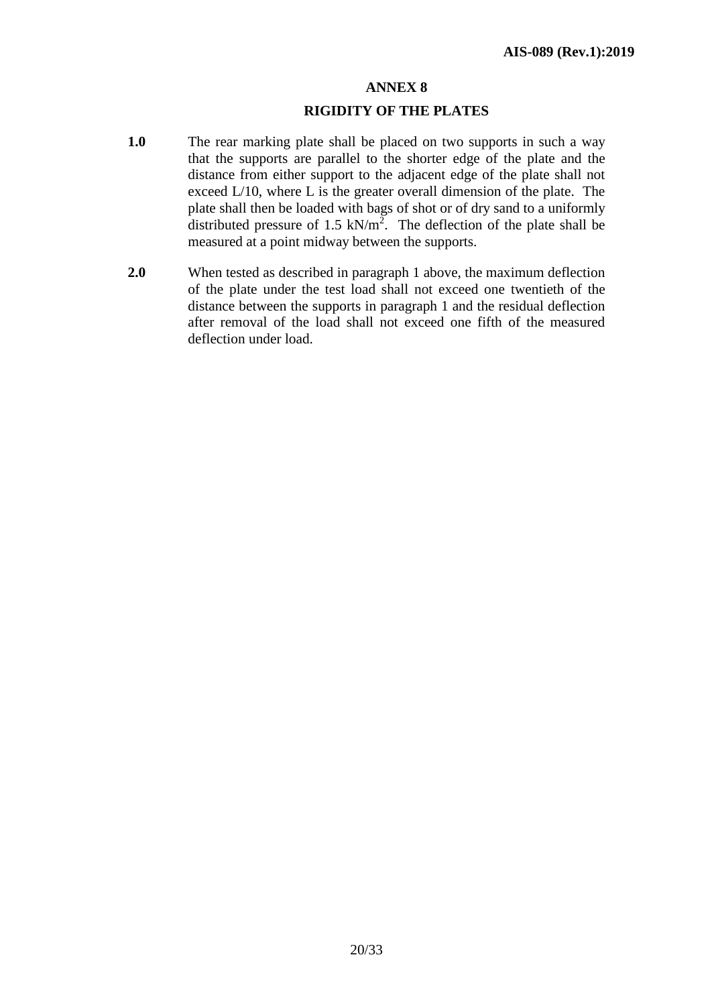#### **RIGIDITY OF THE PLATES**

- **1.0** The rear marking plate shall be placed on two supports in such a way that the supports are parallel to the shorter edge of the plate and the distance from either support to the adjacent edge of the plate shall not exceed L/10, where L is the greater overall dimension of the plate. The plate shall then be loaded with bags of shot or of dry sand to a uniformly distributed pressure of 1.5  $kN/m^2$ . The deflection of the plate shall be measured at a point midway between the supports.
- **2.0** When tested as described in paragraph 1 above, the maximum deflection of the plate under the test load shall not exceed one twentieth of the distance between the supports in paragraph 1 and the residual deflection after removal of the load shall not exceed one fifth of the measured deflection under load.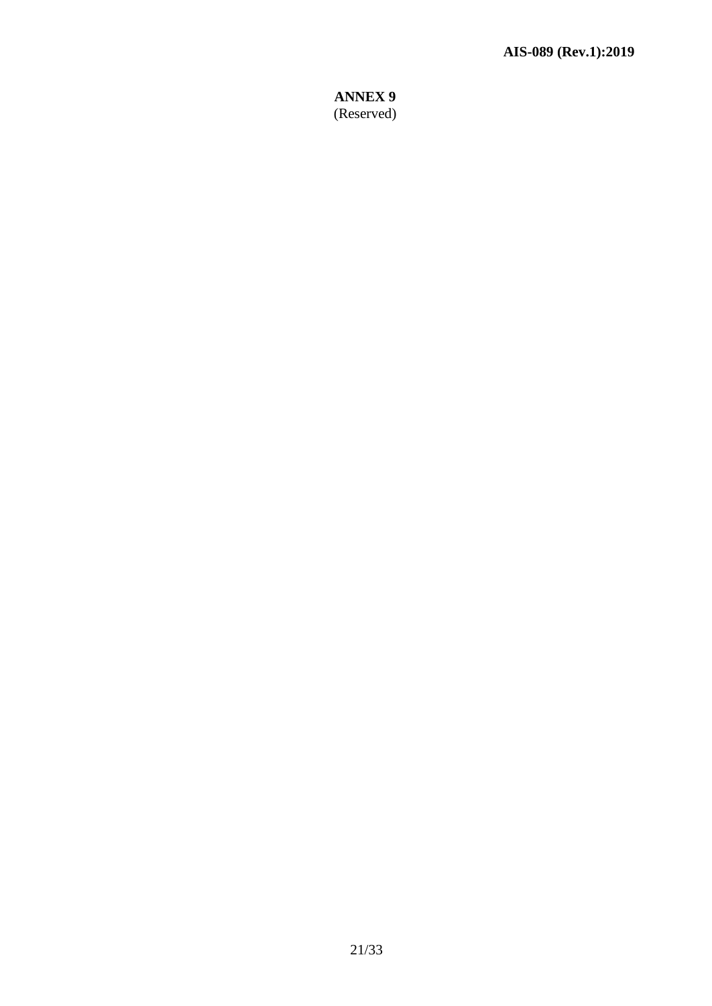# **ANNEX 9** (Reserved)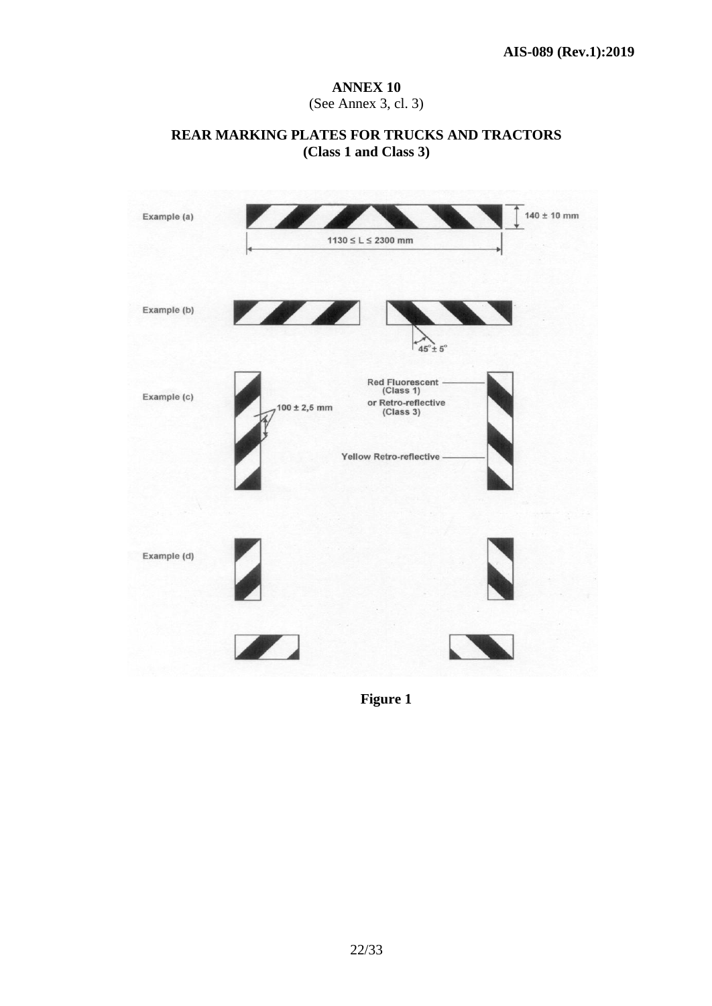# **ANNEX 10** (See Annex 3, cl. 3)

#### **REAR MARKING PLATES FOR TRUCKS AND TRACTORS (Class 1 and Class 3)**



 **Figure 1**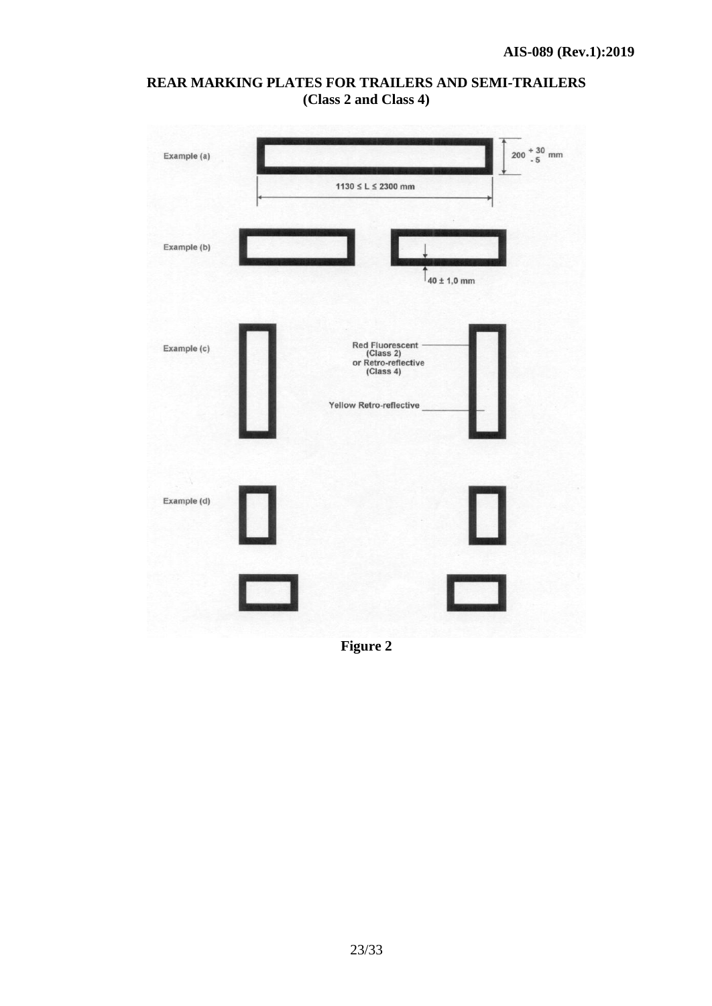



**Figure 2**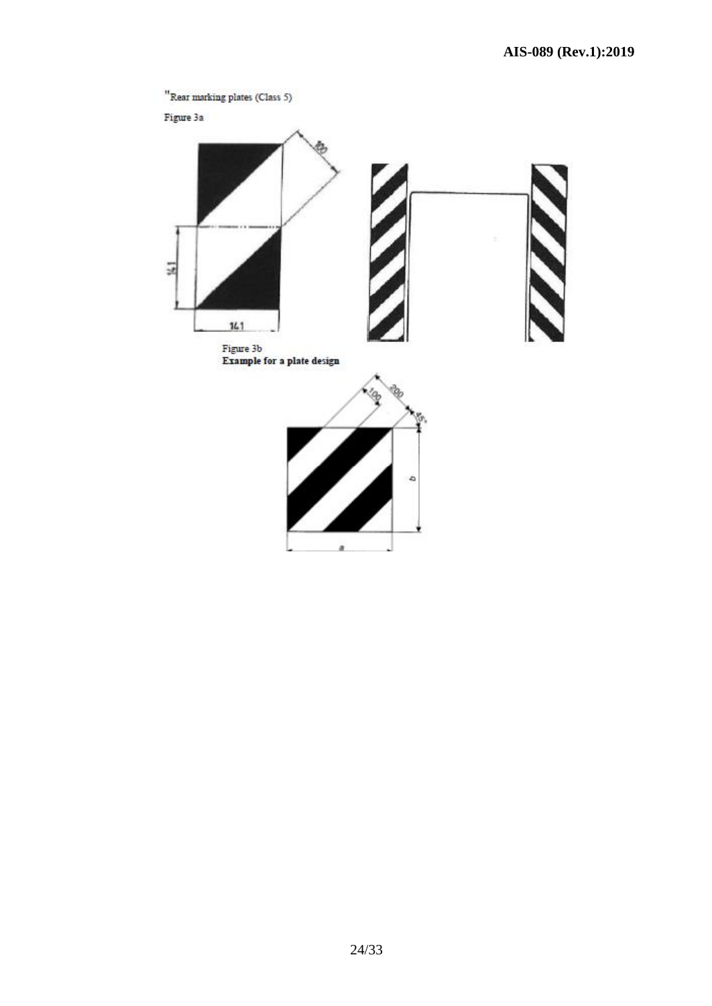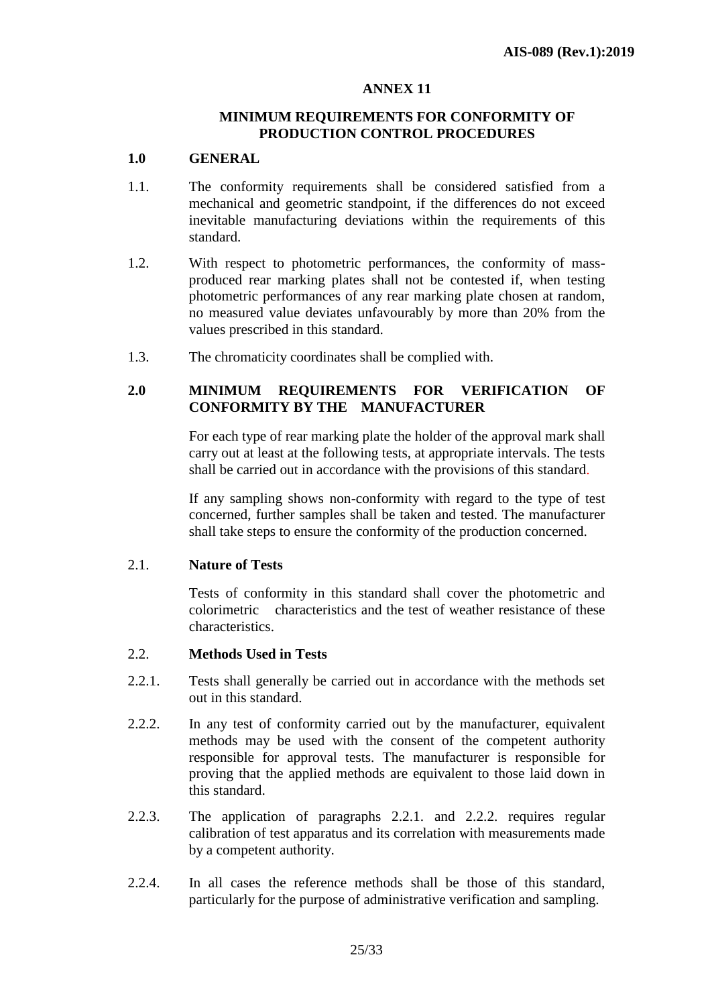#### **MINIMUM REQUIREMENTS FOR CONFORMITY OF PRODUCTION CONTROL PROCEDURES**

#### **1.0 GENERAL**

- 1.1. The conformity requirements shall be considered satisfied from a mechanical and geometric standpoint, if the differences do not exceed inevitable manufacturing deviations within the requirements of this standard.
- 1.2. With respect to photometric performances, the conformity of massproduced rear marking plates shall not be contested if, when testing photometric performances of any rear marking plate chosen at random, no measured value deviates unfavourably by more than 20% from the values prescribed in this standard.
- 1.3. The chromaticity coordinates shall be complied with.

# **2.0 MINIMUM REQUIREMENTS FOR VERIFICATION OF CONFORMITY BY THE MANUFACTURER**

For each type of rear marking plate the holder of the approval mark shall carry out at least at the following tests, at appropriate intervals. The tests shall be carried out in accordance with the provisions of this standard.

If any sampling shows non-conformity with regard to the type of test concerned, further samples shall be taken and tested. The manufacturer shall take steps to ensure the conformity of the production concerned.

#### 2.1. **Nature of Tests**

Tests of conformity in this standard shall cover the photometric and colorimetric characteristics and the test of weather resistance of these characteristics.

# 2.2. **Methods Used in Tests**

- 2.2.1. Tests shall generally be carried out in accordance with the methods set out in this standard.
- 2.2.2. In any test of conformity carried out by the manufacturer, equivalent methods may be used with the consent of the competent authority responsible for approval tests. The manufacturer is responsible for proving that the applied methods are equivalent to those laid down in this standard.
- 2.2.3. The application of paragraphs 2.2.1. and 2.2.2. requires regular calibration of test apparatus and its correlation with measurements made by a competent authority.
- 2.2.4. In all cases the reference methods shall be those of this standard, particularly for the purpose of administrative verification and sampling.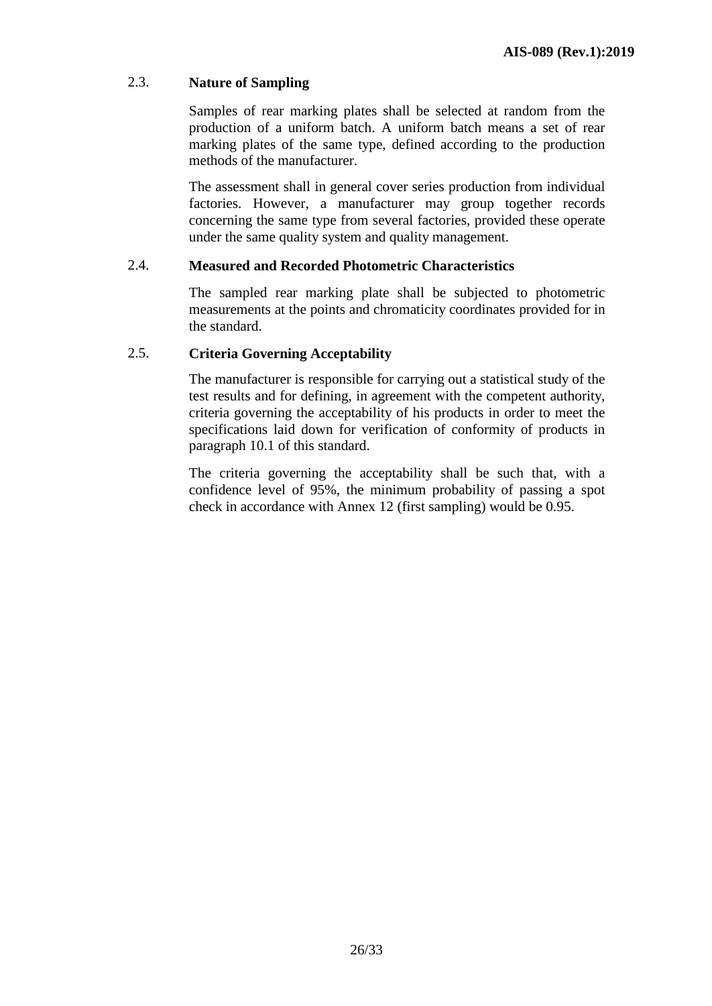# 2.3. **Nature of Sampling**

Samples of rear marking plates shall be selected at random from the production of a uniform batch. A uniform batch means a set of rear marking plates of the same type, defined according to the production methods of the manufacturer.

The assessment shall in general cover series production from individual factories. However, a manufacturer may group together records concerning the same type from several factories, provided these operate under the same quality system and quality management.

#### 2.4. **Measured and Recorded Photometric Characteristics**

The sampled rear marking plate shall be subjected to photometric measurements at the points and chromaticity coordinates provided for in the standard.

#### 2.5. **Criteria Governing Acceptability**

The manufacturer is responsible for carrying out a statistical study of the test results and for defining, in agreement with the competent authority, criteria governing the acceptability of his products in order to meet the specifications laid down for verification of conformity of products in paragraph 10.1 of this standard.

The criteria governing the acceptability shall be such that, with a confidence level of 95%, the minimum probability of passing a spot check in accordance with Annex 12 (first sampling) would be 0.95.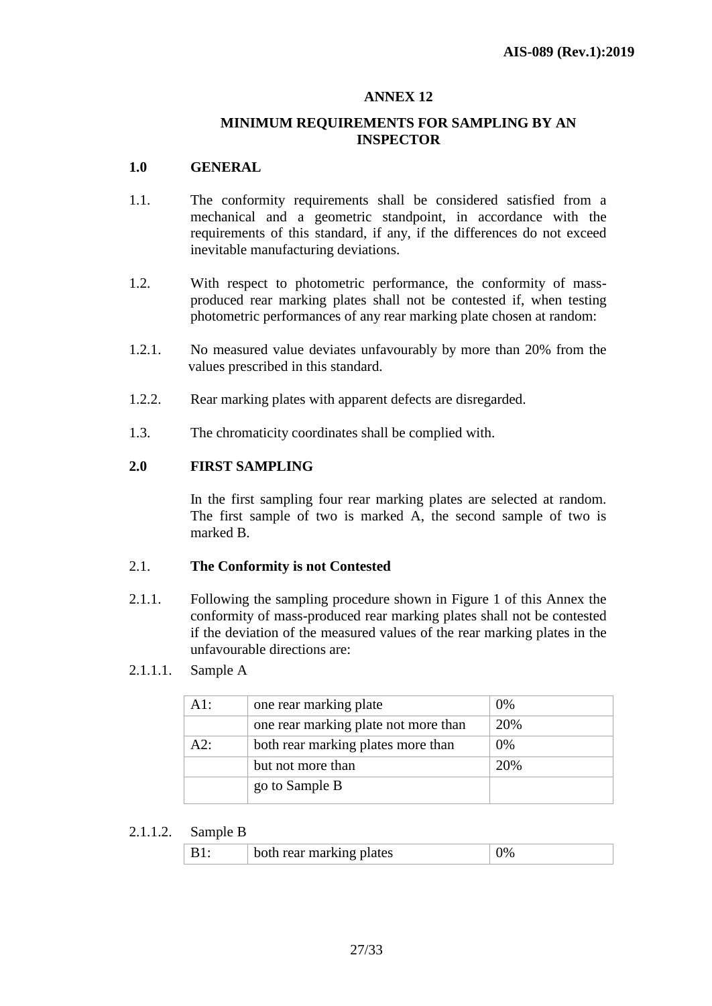#### **MINIMUM REQUIREMENTS FOR SAMPLING BY AN INSPECTOR**

### **1.0 GENERAL**

- 1.1. The conformity requirements shall be considered satisfied from a mechanical and a geometric standpoint, in accordance with the requirements of this standard, if any, if the differences do not exceed inevitable manufacturing deviations.
- 1.2. With respect to photometric performance, the conformity of massproduced rear marking plates shall not be contested if, when testing photometric performances of any rear marking plate chosen at random:
- 1.2.1. No measured value deviates unfavourably by more than 20% from the values prescribed in this standard.
- 1.2.2. Rear marking plates with apparent defects are disregarded.
- 1.3. The chromaticity coordinates shall be complied with.

# **2.0 FIRST SAMPLING**

In the first sampling four rear marking plates are selected at random. The first sample of two is marked A, the second sample of two is marked B.

#### 2.1. **The Conformity is not Contested**

2.1.1. Following the sampling procedure shown in Figure 1 of this Annex the conformity of mass-produced rear marking plates shall not be contested if the deviation of the measured values of the rear marking plates in the unfavourable directions are:

#### 2.1.1.1. Sample A

| $A1$ : | one rear marking plate               | 0%  |
|--------|--------------------------------------|-----|
|        | one rear marking plate not more than | 20% |
| A2:    | both rear marking plates more than   | 0%  |
|        | but not more than                    | 20% |
|        | go to Sample B                       |     |

#### 2.1.1.2. Sample B

| rear marking plates |  |
|---------------------|--|
|---------------------|--|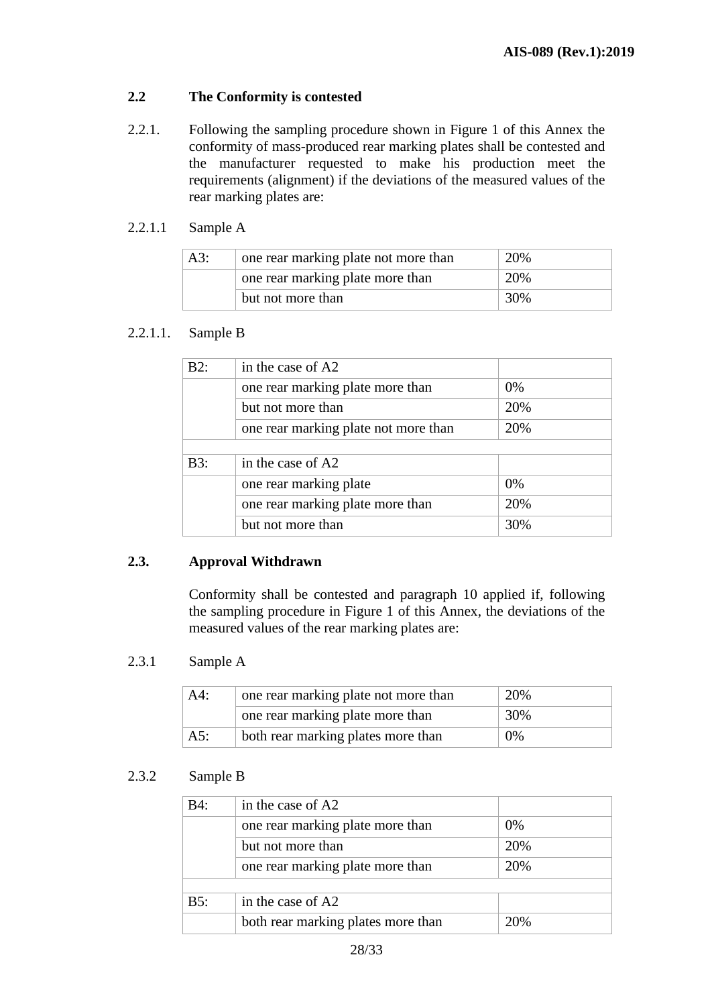# **2.2 The Conformity is contested**

- 2.2.1. Following the sampling procedure shown in Figure 1 of this Annex the conformity of mass-produced rear marking plates shall be contested and the manufacturer requested to make his production meet the requirements (alignment) if the deviations of the measured values of the rear marking plates are:
- 2.2.1.1 Sample A

| A3: | one rear marking plate not more than | 20% |
|-----|--------------------------------------|-----|
|     | one rear marking plate more than     | 20% |
|     | but not more than                    | 30% |

# 2.2.1.1. Sample B

| B2: | in the case of A2                    |     |
|-----|--------------------------------------|-----|
|     | one rear marking plate more than     | 0%  |
|     | but not more than                    | 20% |
|     | one rear marking plate not more than | 20% |
|     |                                      |     |
| B3: | in the case of A2                    |     |
|     | one rear marking plate               | 0%  |
|     | one rear marking plate more than     | 20% |
|     | but not more than                    | 30% |

# **2.3. Approval Withdrawn**

Conformity shall be contested and paragraph 10 applied if, following the sampling procedure in Figure 1 of this Annex, the deviations of the measured values of the rear marking plates are:

#### 2.3.1 Sample A

| $A4$ : | one rear marking plate not more than | 20% |
|--------|--------------------------------------|-----|
|        | one rear marking plate more than     | 30% |
| A5:    | both rear marking plates more than   | 0%  |

#### 2.3.2 Sample B

| B4: | in the case of A2                  |     |
|-----|------------------------------------|-----|
|     | one rear marking plate more than   | 0%  |
|     | but not more than                  | 20% |
|     | one rear marking plate more than   | 20% |
|     |                                    |     |
| B5: | in the case of A2                  |     |
|     | both rear marking plates more than | 20% |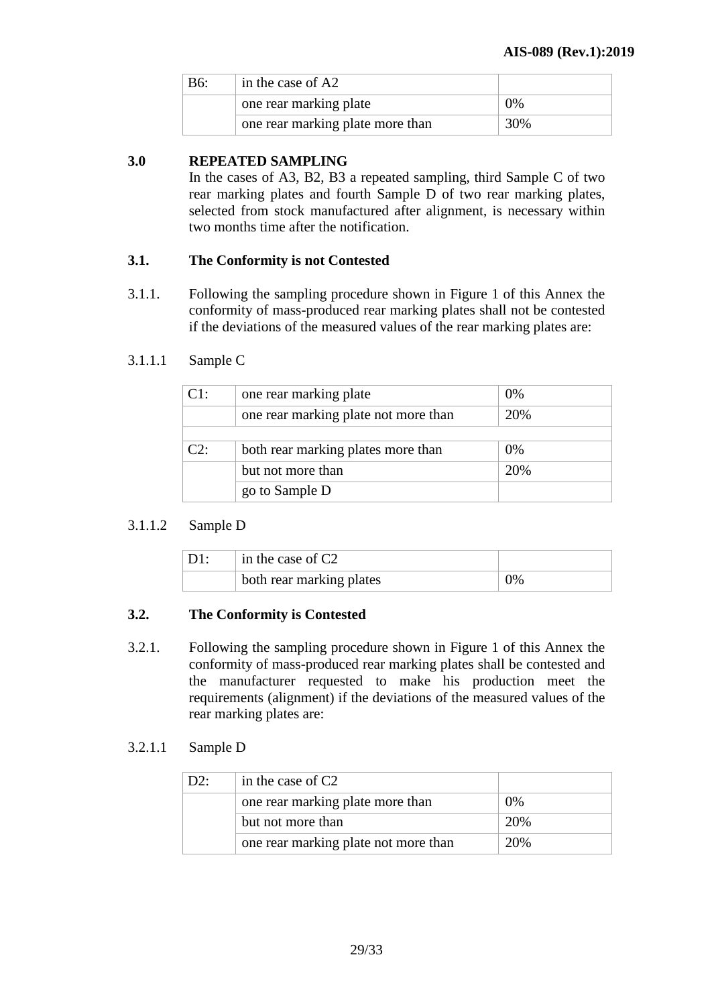| <b>B6:</b> | in the case of A2                |       |
|------------|----------------------------------|-------|
|            | one rear marking plate           | $0\%$ |
|            | one rear marking plate more than | 30%   |

# **3.0 REPEATED SAMPLING**

In the cases of A3, B2, B3 a repeated sampling, third Sample C of two rear marking plates and fourth Sample D of two rear marking plates, selected from stock manufactured after alignment, is necessary within two months time after the notification.

#### **3.1. The Conformity is not Contested**

3.1.1. Following the sampling procedure shown in Figure 1 of this Annex the conformity of mass-produced rear marking plates shall not be contested if the deviations of the measured values of the rear marking plates are:

#### 3.1.1.1 Sample C

| C1:    | one rear marking plate               | 0%  |
|--------|--------------------------------------|-----|
|        | one rear marking plate not more than | 20% |
|        |                                      |     |
| $C2^+$ | both rear marking plates more than   | 0%  |
|        | but not more than                    | 20% |
|        | go to Sample D                       |     |

# 3.1.1.2 Sample D

| in the case of $C2$      |    |
|--------------------------|----|
| both rear marking plates | 9% |

# **3.2. The Conformity is Contested**

3.2.1. Following the sampling procedure shown in Figure 1 of this Annex the conformity of mass-produced rear marking plates shall be contested and the manufacturer requested to make his production meet the requirements (alignment) if the deviations of the measured values of the rear marking plates are:

#### 3.2.1.1 Sample D

| D2: | in the case of $C2$                  |     |
|-----|--------------------------------------|-----|
|     | one rear marking plate more than     | 0%  |
|     | but not more than                    | 20% |
|     | one rear marking plate not more than | 20% |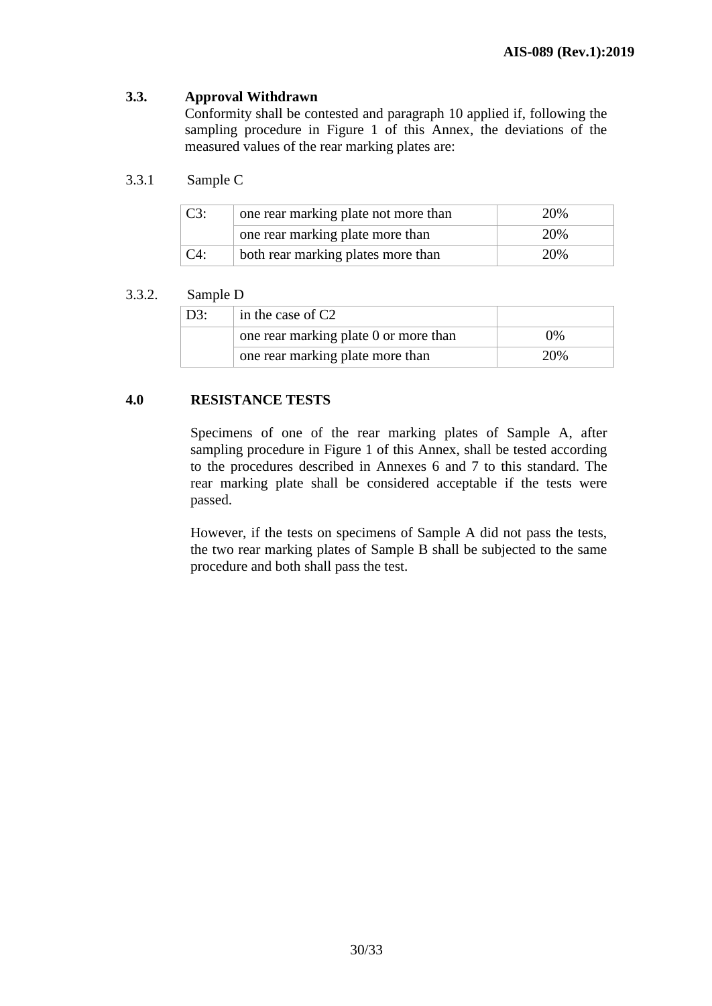# **3.3. Approval Withdrawn**

Conformity shall be contested and paragraph 10 applied if, following the sampling procedure in Figure 1 of this Annex, the deviations of the measured values of the rear marking plates are:

## 3.3.1 Sample C

| C3:    | one rear marking plate not more than | 20% |
|--------|--------------------------------------|-----|
|        | one rear marking plate more than     | 20% |
| $C4$ : | both rear marking plates more than   | 20% |

#### 3.3.2. Sample D

| D3: | in the case of $C2$                   |     |
|-----|---------------------------------------|-----|
|     | one rear marking plate 0 or more than | በ%  |
|     | one rear marking plate more than      | 20% |

#### **4.0 RESISTANCE TESTS**

Specimens of one of the rear marking plates of Sample A, after sampling procedure in Figure 1 of this Annex, shall be tested according to the procedures described in Annexes 6 and 7 to this standard. The rear marking plate shall be considered acceptable if the tests were passed.

However, if the tests on specimens of Sample A did not pass the tests, the two rear marking plates of Sample B shall be subjected to the same procedure and both shall pass the test.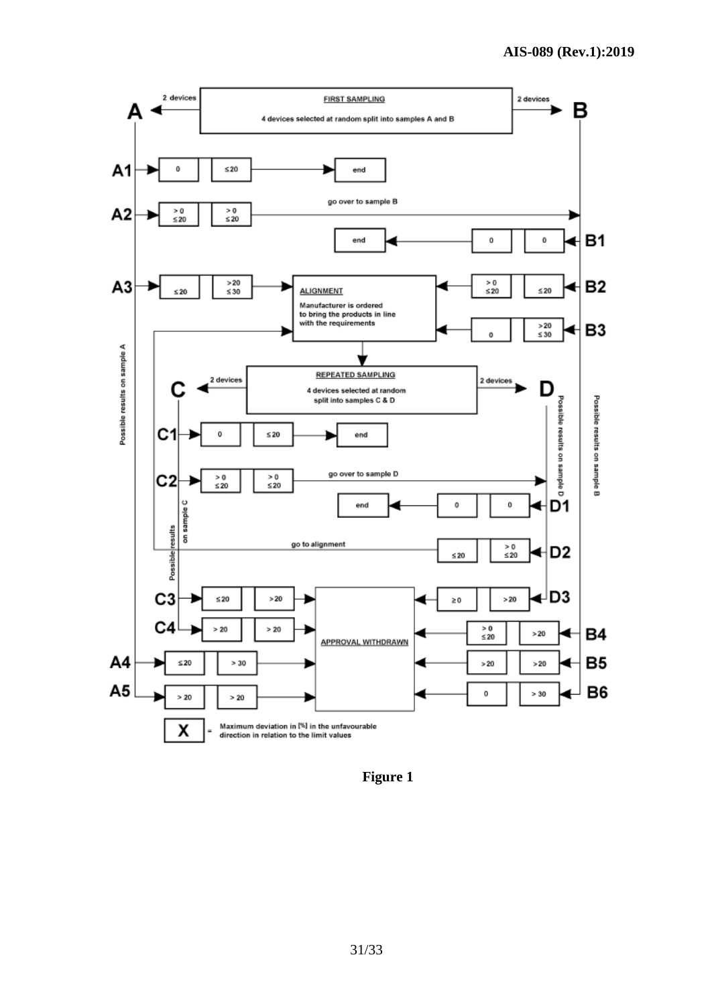

 **Figure 1**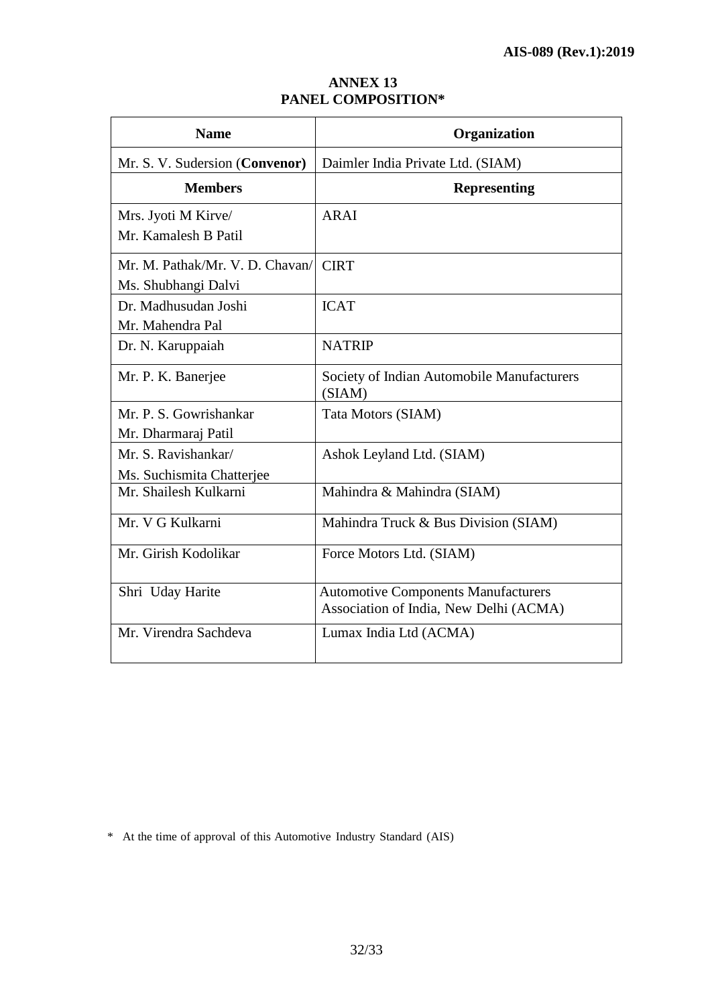| <b>ANNEX 13</b>           |
|---------------------------|
| <b>PANEL COMPOSITION*</b> |

| <b>Name</b>                                            | Organization                                                                         |
|--------------------------------------------------------|--------------------------------------------------------------------------------------|
| Mr. S. V. Sudersion (Convenor)                         | Daimler India Private Ltd. (SIAM)                                                    |
| <b>Members</b>                                         | <b>Representing</b>                                                                  |
| Mrs. Jyoti M Kirve/<br>Mr. Kamalesh B Patil            | ARAI                                                                                 |
| Mr. M. Pathak/Mr. V. D. Chavan/<br>Ms. Shubhangi Dalvi | <b>CIRT</b>                                                                          |
| Dr. Madhusudan Joshi<br>Mr. Mahendra Pal               | <b>ICAT</b>                                                                          |
| Dr. N. Karuppaiah                                      | <b>NATRIP</b>                                                                        |
| Mr. P. K. Banerjee                                     | Society of Indian Automobile Manufacturers<br>(SIAM)                                 |
| Mr. P. S. Gowrishankar<br>Mr. Dharmaraj Patil          | Tata Motors (SIAM)                                                                   |
| Mr. S. Ravishankar/<br>Ms. Suchismita Chatterjee       | Ashok Leyland Ltd. (SIAM)                                                            |
| Mr. Shailesh Kulkarni                                  | Mahindra & Mahindra (SIAM)                                                           |
| Mr. V G Kulkarni                                       | Mahindra Truck & Bus Division (SIAM)                                                 |
| Mr. Girish Kodolikar                                   | Force Motors Ltd. (SIAM)                                                             |
| Shri Uday Harite                                       | <b>Automotive Components Manufacturers</b><br>Association of India, New Delhi (ACMA) |
| Mr. Virendra Sachdeva                                  | Lumax India Ltd (ACMA)                                                               |

\* At the time of approval of this Automotive Industry Standard (AIS)